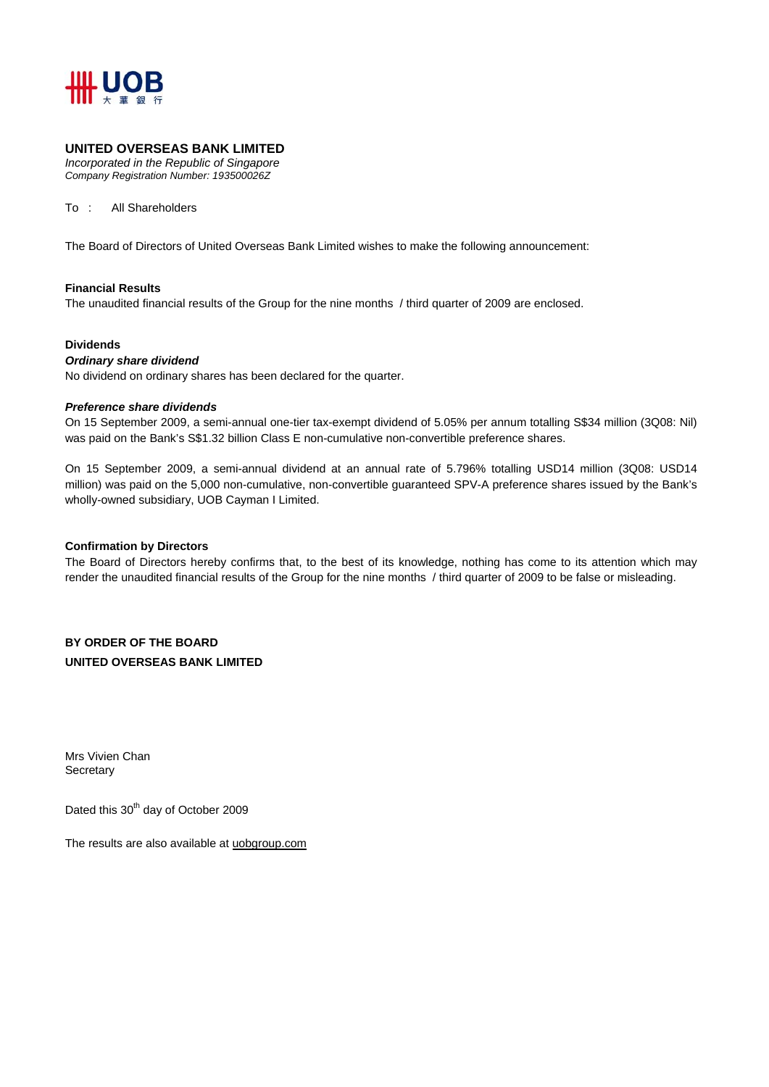

### **UNITED OVERSEAS BANK LIMITED**

*Incorporated in the Republic of Singapore Company Registration Number: 193500026Z* 

To : All Shareholders

The Board of Directors of United Overseas Bank Limited wishes to make the following announcement:

#### **Financial Results**

The unaudited financial results of the Group for the nine months / third quarter of 2009 are enclosed.

#### **Dividends**

#### *Ordinary share dividend*

No dividend on ordinary shares has been declared for the quarter.

#### *Preference share dividends*

On 15 September 2009, a semi-annual one-tier tax-exempt dividend of 5.05% per annum totalling S\$34 million (3Q08: Nil) was paid on the Bank's S\$1.32 billion Class E non-cumulative non-convertible preference shares.

On 15 September 2009, a semi-annual dividend at an annual rate of 5.796% totalling USD14 million (3Q08: USD14 million) was paid on the 5,000 non-cumulative, non-convertible guaranteed SPV-A preference shares issued by the Bank's wholly-owned subsidiary, UOB Cayman I Limited.

#### **Confirmation by Directors**

The Board of Directors hereby confirms that, to the best of its knowledge, nothing has come to its attention which may render the unaudited financial results of the Group for the nine months / third quarter of 2009 to be false or misleading.

**BY ORDER OF THE BOARD UNITED OVERSEAS BANK LIMITED** 

Mrs Vivien Chan **Secretary** 

Dated this 30<sup>th</sup> day of October 2009

The results are also available at uobgroup.com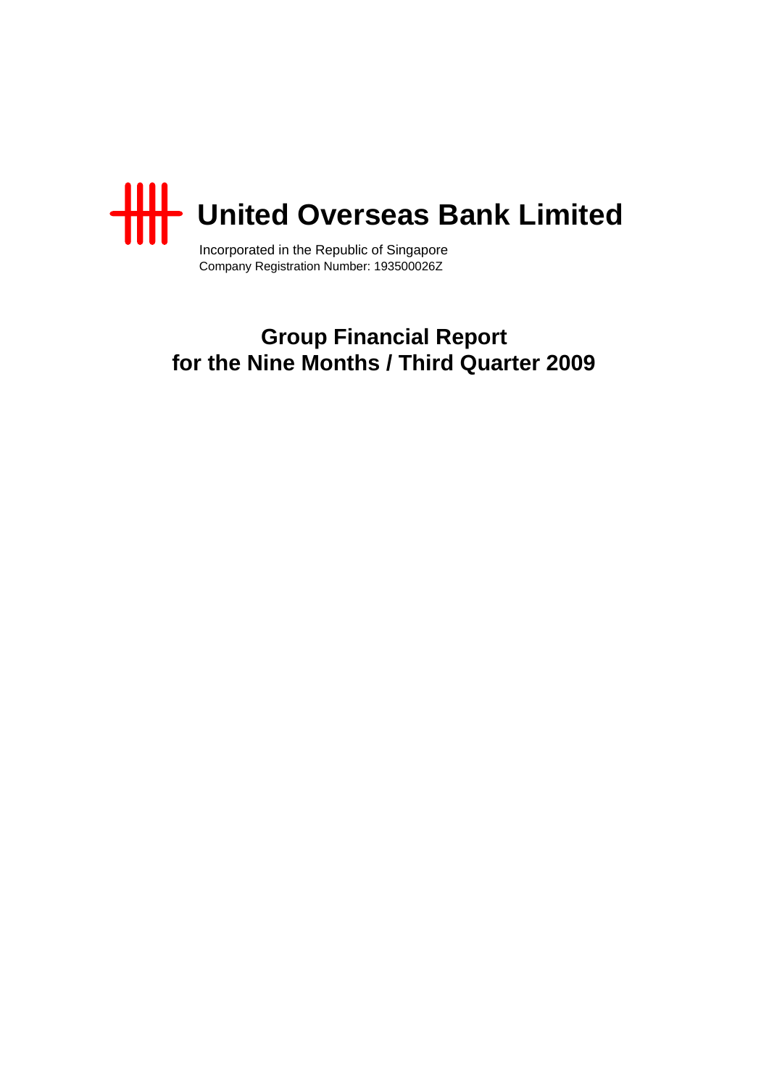

Incorporated in the Republic of Singapore Company Registration Number: 193500026Z

## **Group Financial Report for the Nine Months / Third Quarter 2009**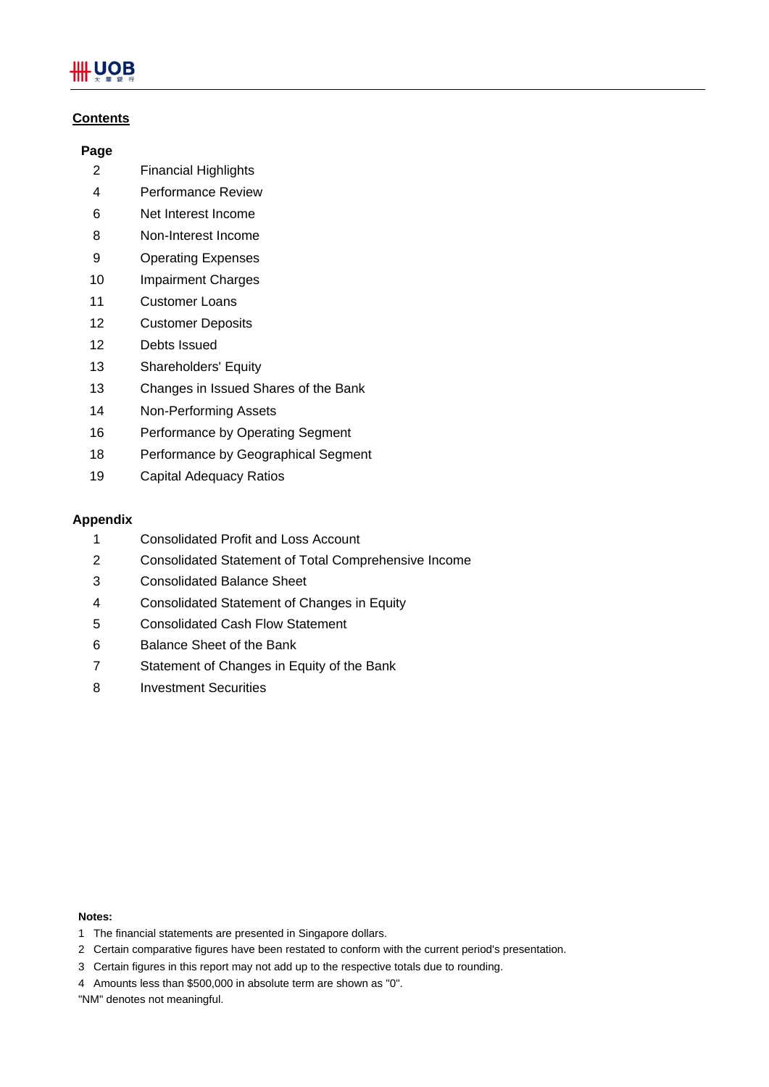# **UOB**

## **Contents**

## **Page**

- 2 Financial Highlights
- 4 Performance Review
- 6 Net Interest Income
- 8 Non-Interest Income
- 9 Operating Expenses
- 10 Impairment Charges
- 11 Customer Loans
- 12 Customer Deposits
- 12 Debts Issued
- 13 Shareholders' Equity
- 13 Changes in Issued Shares of the Bank
- 14 Non-Performing Assets
- 16 Performance by Operating Segment
- 18 Performance by Geographical Segment
- 19 Capital Adequacy Ratios

## **Appendix**

- 1 Consolidated Profit and Loss Account
- 2 Consolidated Statement of Total Comprehensive Income
- 3 Consolidated Balance Sheet
- 4 Consolidated Statement of Changes in Equity
- 5 Consolidated Cash Flow Statement
- 6 Balance Sheet of the Bank
- 7 Statement of Changes in Equity of the Bank
- 8 Investment Securities

#### **Notes:**

- 1 The financial statements are presented in Singapore dollars.
- 2 Certain comparative figures have been restated to conform with the current period's presentation.
- 3 Certain figures in this report may not add up to the respective totals due to rounding.
- 4 Amounts less than \$500,000 in absolute term are shown as "0".
- "NM" denotes not meaningful.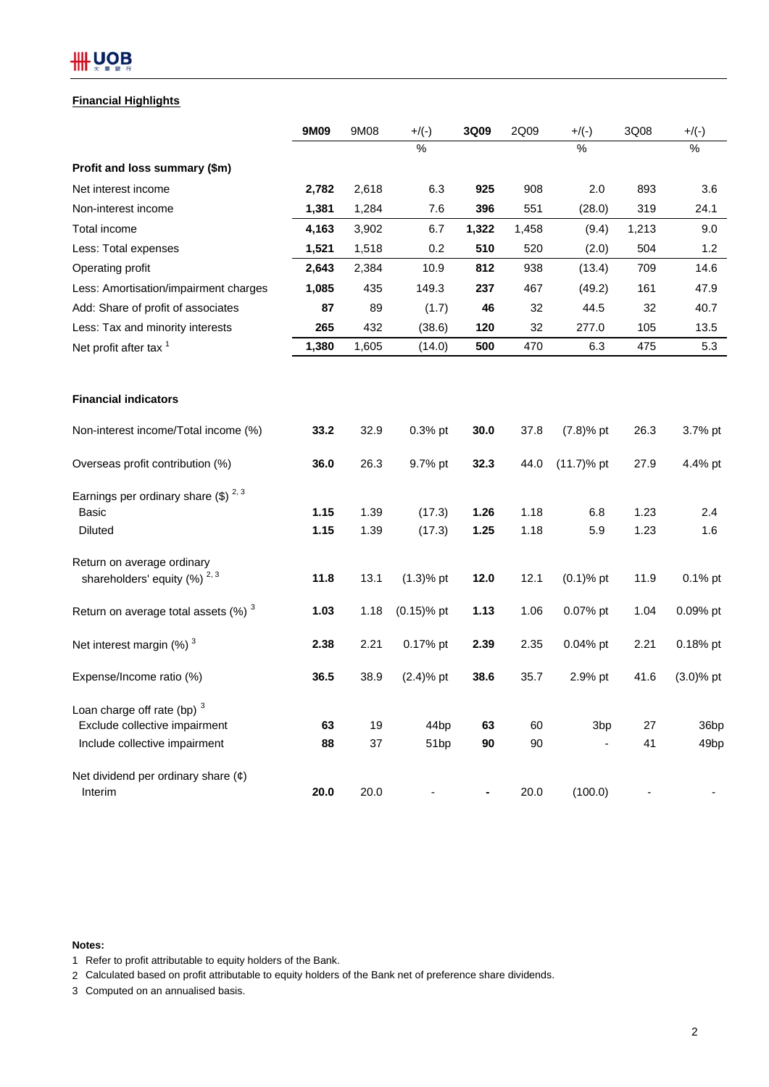# **##UOB**

### **Financial Highlights**

|                                                    | 9M09  | 9M08  | $+$ /(-)         | 3Q09           | 2Q09  | $+/(-)$         | 3Q08  | $+$ /(-)         |
|----------------------------------------------------|-------|-------|------------------|----------------|-------|-----------------|-------|------------------|
|                                                    |       |       | $\%$             |                |       | $\%$            |       | $\%$             |
| Profit and loss summary (\$m)                      |       |       |                  |                |       |                 |       |                  |
| Net interest income                                | 2,782 | 2,618 | 6.3              | 925            | 908   | 2.0             | 893   | 3.6              |
| Non-interest income                                | 1,381 | 1,284 | 7.6              | 396            | 551   | (28.0)          | 319   | 24.1             |
| Total income                                       | 4,163 | 3,902 | 6.7              | 1,322          | 1,458 | (9.4)           | 1,213 | 9.0              |
| Less: Total expenses                               | 1,521 | 1,518 | 0.2              | 510            | 520   | (2.0)           | 504   | 1.2              |
| Operating profit                                   | 2,643 | 2,384 | 10.9             | 812            | 938   | (13.4)          | 709   | 14.6             |
| Less: Amortisation/impairment charges              | 1,085 | 435   | 149.3            | 237            | 467   | (49.2)          | 161   | 47.9             |
| Add: Share of profit of associates                 | 87    | 89    | (1.7)            | 46             | 32    | 44.5            | 32    | 40.7             |
| Less: Tax and minority interests                   | 265   | 432   | (38.6)           | 120            | 32    | 277.0           | 105   | 13.5             |
| Net profit after tax <sup>1</sup>                  | 1,380 | 1,605 | (14.0)           | 500            | 470   | 6.3             | 475   | 5.3              |
|                                                    |       |       |                  |                |       |                 |       |                  |
| <b>Financial indicators</b>                        |       |       |                  |                |       |                 |       |                  |
| Non-interest income/Total income (%)               | 33.2  | 32.9  | 0.3% pt          | 30.0           | 37.8  | $(7.8)%$ pt     | 26.3  | 3.7% pt          |
| Overseas profit contribution (%)                   | 36.0  | 26.3  | 9.7% pt          | 32.3           | 44.0  | $(11.7)$ % pt   | 27.9  | 4.4% pt          |
| Earnings per ordinary share $(\$)$ <sup>2, 3</sup> |       |       |                  |                |       |                 |       |                  |
| <b>Basic</b>                                       | 1.15  | 1.39  | (17.3)           | 1.26           | 1.18  | 6.8             | 1.23  | 2.4              |
| <b>Diluted</b>                                     | 1.15  | 1.39  | (17.3)           | 1.25           | 1.18  | 5.9             | 1.23  | 1.6              |
| Return on average ordinary                         |       |       |                  |                |       |                 |       |                  |
| shareholders' equity $(%)^{2,3}$                   | 11.8  | 13.1  | $(1.3)$ % pt     | 12.0           | 12.1  | $(0.1)$ % pt    | 11.9  | 0.1% pt          |
| Return on average total assets $(\%)$ <sup>3</sup> | 1.03  | 1.18  | $(0.15)$ % pt    | 1.13           | 1.06  | 0.07% pt        | 1.04  | 0.09% pt         |
| Net interest margin $(%)$ <sup>3</sup>             | 2.38  | 2.21  | 0.17% pt         | 2.39           | 2.35  | $0.04%$ pt      | 2.21  | 0.18% pt         |
| Expense/Income ratio (%)                           | 36.5  | 38.9  | $(2.4)$ % pt     | 38.6           | 35.7  | 2.9% pt         | 41.6  | $(3.0)$ % pt     |
| Loan charge off rate (bp) 3                        |       |       |                  |                |       |                 |       |                  |
| Exclude collective impairment                      | 63    | 19    | 44 <sub>bp</sub> | 63             | 60    | 3 <sub>bp</sub> | 27    | 36bp             |
| Include collective impairment                      | 88    | 37    | 51bp             | 90             | 90    |                 | 41    | 49 <sub>bp</sub> |
| Net dividend per ordinary share $(\phi)$           |       |       |                  |                |       |                 |       |                  |
| Interim                                            | 20.0  | 20.0  | ٠                | $\blacksquare$ | 20.0  | (100.0)         |       |                  |

#### **Notes:**

1 Refer to profit attributable to equity holders of the Bank.

2 Calculated based on profit attributable to equity holders of the Bank net of preference share dividends.

3 Computed on an annualised basis.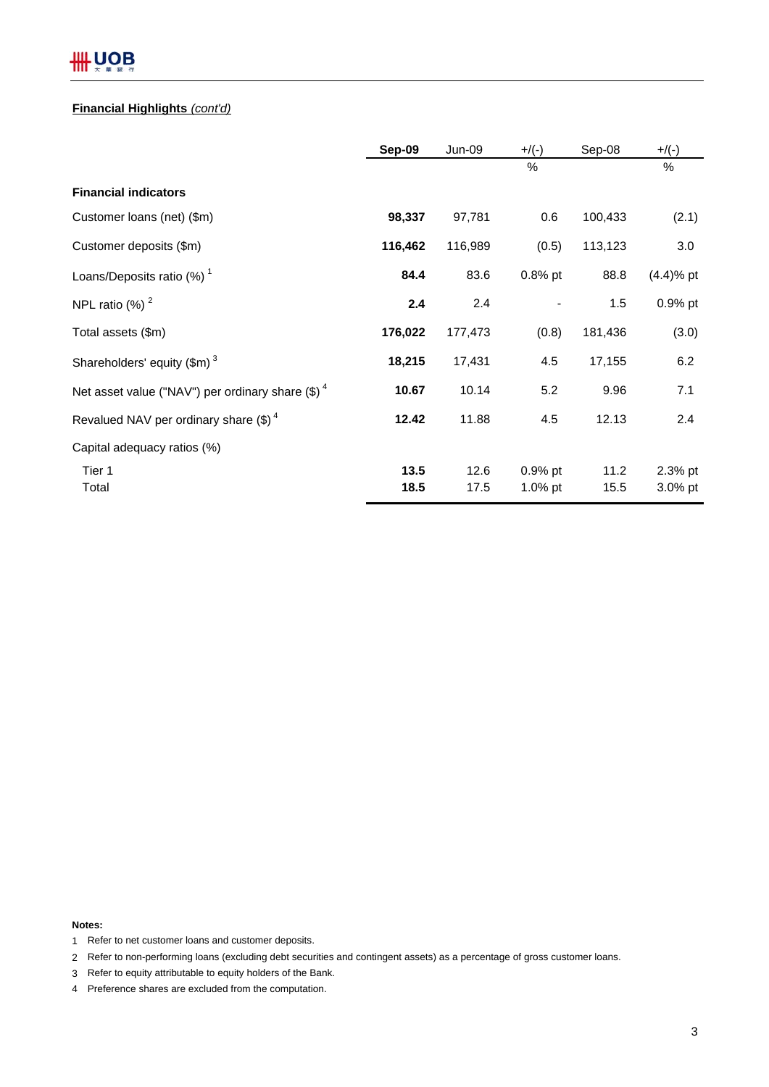# **HHUOB**

## **Financial Highlights** *(cont'd)*

|                                                     | Sep-09  | Jun-09  | $+$ /(-)   | Sep-08  | $+$ /(-)     |
|-----------------------------------------------------|---------|---------|------------|---------|--------------|
|                                                     |         |         | %          |         | %            |
| <b>Financial indicators</b>                         |         |         |            |         |              |
| Customer loans (net) (\$m)                          | 98,337  | 97,781  | 0.6        | 100,433 | (2.1)        |
| Customer deposits (\$m)                             | 116,462 | 116,989 | (0.5)      | 113,123 | 3.0          |
| Loans/Deposits ratio $(%)1$                         | 84.4    | 83.6    | $0.8\%$ pt | 88.8    | $(4.4)$ % pt |
| NPL ratio $(%)2$                                    | 2.4     | 2.4     |            | 1.5     | 0.9% pt      |
| Total assets (\$m)                                  | 176,022 | 177,473 | (0.8)      | 181,436 | (3.0)        |
| Shareholders' equity $(\text{$m$})^3$               | 18,215  | 17,431  | 4.5        | 17,155  | 6.2          |
| Net asset value ("NAV") per ordinary share $(\$)^4$ | 10.67   | 10.14   | 5.2        | 9.96    | 7.1          |
| Revalued NAV per ordinary share $(\text{$\$})^4$    | 12.42   | 11.88   | 4.5        | 12.13   | 2.4          |
| Capital adequacy ratios (%)                         |         |         |            |         |              |
| Tier 1                                              | 13.5    | 12.6    | 0.9% pt    | 11.2    | 2.3% pt      |
| Total                                               | 18.5    | 17.5    | $1.0\%$ pt | 15.5    | 3.0% pt      |

**Notes:**

- 1 Refer to net customer loans and customer deposits.
- 2 Refer to non-performing loans (excluding debt securities and contingent assets) as a percentage of gross customer loans.
- 3 Refer to equity attributable to equity holders of the Bank.
- 4 Preference shares are excluded from the computation.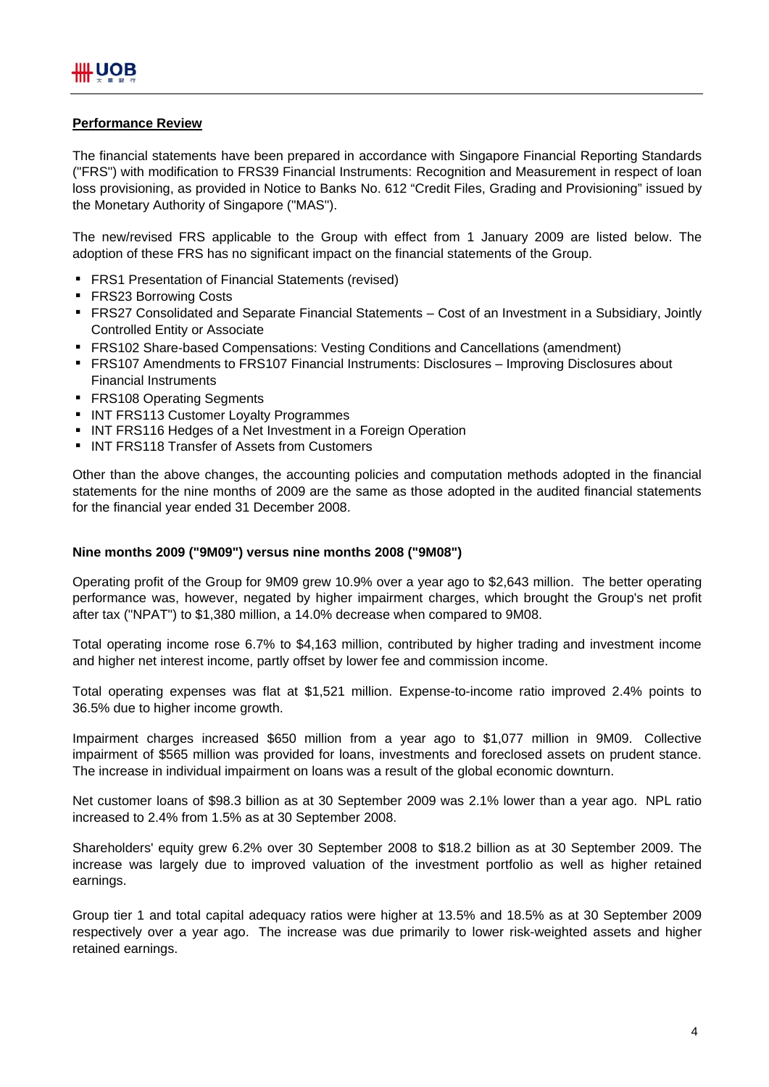## **Performance Review**

The financial statements have been prepared in accordance with Singapore Financial Reporting Standards ("FRS") with modification to FRS39 Financial Instruments: Recognition and Measurement in respect of loan loss provisioning, as provided in Notice to Banks No. 612 "Credit Files, Grading and Provisioning" issued by the Monetary Authority of Singapore ("MAS").

The new/revised FRS applicable to the Group with effect from 1 January 2009 are listed below. The adoption of these FRS has no significant impact on the financial statements of the Group.

- **FRS1 Presentation of Financial Statements (revised)**
- **FRS23 Borrowing Costs**
- FRS27 Consolidated and Separate Financial Statements Cost of an Investment in a Subsidiary, Jointly Controlled Entity or Associate
- FRS102 Share-based Compensations: Vesting Conditions and Cancellations (amendment)
- **FRS107 Amendments to FRS107 Financial Instruments: Disclosures Improving Disclosures about** Financial Instruments
- **FRS108 Operating Segments**
- **INT FRS113 Customer Loyalty Programmes**
- **INT FRS116 Hedges of a Net Investment in a Foreign Operation**
- **INT FRS118 Transfer of Assets from Customers**

Other than the above changes, the accounting policies and computation methods adopted in the financial statements for the nine months of 2009 are the same as those adopted in the audited financial statements for the financial year ended 31 December 2008.

## **Nine months 2009 ("9M09") versus nine months 2008 ("9M08")**

Operating profit of the Group for 9M09 grew 10.9% over a year ago to \$2,643 million. The better operating performance was, however, negated by higher impairment charges, which brought the Group's net profit after tax ("NPAT") to \$1,380 million, a 14.0% decrease when compared to 9M08.

Total operating income rose 6.7% to \$4,163 million, contributed by higher trading and investment income and higher net interest income, partly offset by lower fee and commission income.

Total operating expenses was flat at \$1,521 million. Expense-to-income ratio improved 2.4% points to 36.5% due to higher income growth.

Impairment charges increased \$650 million from a year ago to \$1,077 million in 9M09. Collective impairment of \$565 million was provided for loans, investments and foreclosed assets on prudent stance. The increase in individual impairment on loans was a result of the global economic downturn.

Net customer loans of \$98.3 billion as at 30 September 2009 was 2.1% lower than a year ago. NPL ratio increased to 2.4% from 1.5% as at 30 September 2008.

Shareholders' equity grew 6.2% over 30 September 2008 to \$18.2 billion as at 30 September 2009. The increase was largely due to improved valuation of the investment portfolio as well as higher retained earnings.

Group tier 1 and total capital adequacy ratios were higher at 13.5% and 18.5% as at 30 September 2009 respectively over a year ago. The increase was due primarily to lower risk-weighted assets and higher retained earnings.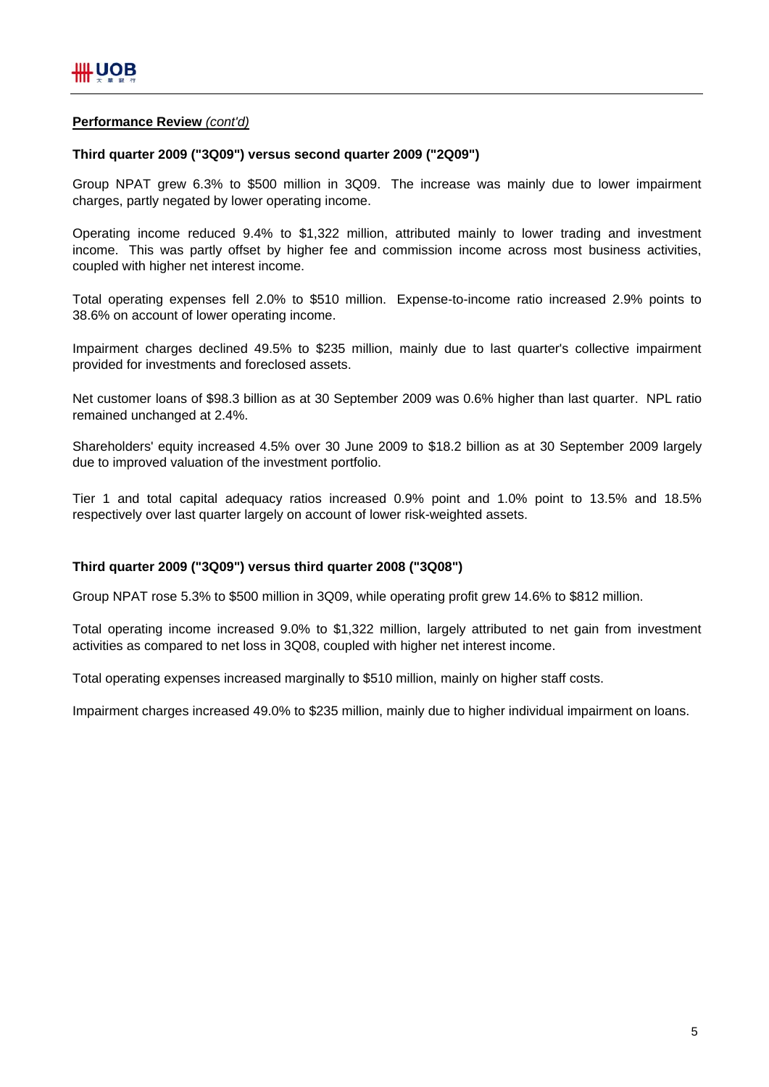## **Performance Review** *(cont'd)*

## **Third quarter 2009 ("3Q09") versus second quarter 2009 ("2Q09")**

Group NPAT grew 6.3% to \$500 million in 3Q09. The increase was mainly due to lower impairment charges, partly negated by lower operating income.

Operating income reduced 9.4% to \$1,322 million, attributed mainly to lower trading and investment income. This was partly offset by higher fee and commission income across most business activities, coupled with higher net interest income.

Total operating expenses fell 2.0% to \$510 million. Expense-to-income ratio increased 2.9% points to 38.6% on account of lower operating income.

Impairment charges declined 49.5% to \$235 million, mainly due to last quarter's collective impairment provided for investments and foreclosed assets.

Net customer loans of \$98.3 billion as at 30 September 2009 was 0.6% higher than last quarter. NPL ratio remained unchanged at 2.4%.

Shareholders' equity increased 4.5% over 30 June 2009 to \$18.2 billion as at 30 September 2009 largely due to improved valuation of the investment portfolio.

Tier 1 and total capital adequacy ratios increased 0.9% point and 1.0% point to 13.5% and 18.5% respectively over last quarter largely on account of lower risk-weighted assets.

## **Third quarter 2009 ("3Q09") versus third quarter 2008 ("3Q08")**

Group NPAT rose 5.3% to \$500 million in 3Q09, while operating profit grew 14.6% to \$812 million.

Total operating income increased 9.0% to \$1,322 million, largely attributed to net gain from investment activities as compared to net loss in 3Q08, coupled with higher net interest income.

Total operating expenses increased marginally to \$510 million, mainly on higher staff costs.

Impairment charges increased 49.0% to \$235 million, mainly due to higher individual impairment on loans.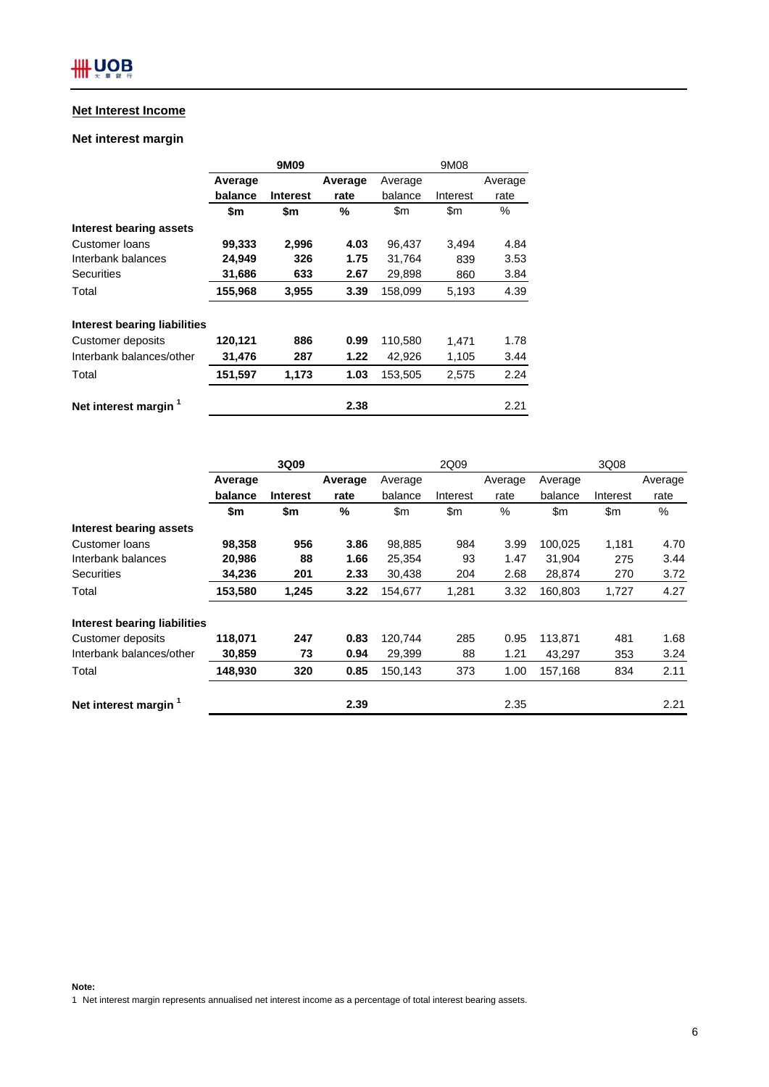## **Net Interest Income**

## **Net interest margin**

|                                  |         | 9M09            |         | 9M08    |          |         |  |
|----------------------------------|---------|-----------------|---------|---------|----------|---------|--|
|                                  | Average |                 | Average | Average |          | Average |  |
|                                  | balance | <b>Interest</b> | rate    | balance | Interest | rate    |  |
|                                  | \$m     | \$m             | %       | \$m     | \$m      | %       |  |
| Interest bearing assets          |         |                 |         |         |          |         |  |
| Customer loans                   | 99,333  | 2,996           | 4.03    | 96,437  | 3.494    | 4.84    |  |
| Interbank balances               | 24,949  | 326             | 1.75    | 31,764  | 839      | 3.53    |  |
| Securities                       | 31,686  | 633             | 2.67    | 29,898  | 860      | 3.84    |  |
| Total                            | 155,968 | 3,955           | 3.39    | 158,099 | 5,193    | 4.39    |  |
| Interest bearing liabilities     |         |                 |         |         |          |         |  |
| Customer deposits                | 120,121 | 886             | 0.99    | 110,580 | 1.471    | 1.78    |  |
| Interbank balances/other         | 31.476  | 287             | 1.22    | 42,926  | 1,105    | 3.44    |  |
| Total                            | 151,597 | 1,173           | 1.03    | 153,505 | 2,575    | 2.24    |  |
| Net interest margin <sup>1</sup> |         |                 | 2.38    |         |          | 2.21    |  |

|                                  | 3Q09    |                 |         | 2Q09          |          |         | 3Q08    |          |               |  |
|----------------------------------|---------|-----------------|---------|---------------|----------|---------|---------|----------|---------------|--|
|                                  | Average |                 | Average | Average       |          | Average | Average |          | Average       |  |
|                                  | balance | <b>Interest</b> | rate    | balance       | Interest | rate    | balance | Interest | rate          |  |
|                                  | \$m     | \$m             | %       | $\mathsf{Sm}$ | \$m      | %       | \$m     | \$m      | $\frac{0}{0}$ |  |
| Interest bearing assets          |         |                 |         |               |          |         |         |          |               |  |
| Customer loans                   | 98,358  | 956             | 3.86    | 98,885        | 984      | 3.99    | 100,025 | 1,181    | 4.70          |  |
| Interbank balances               | 20,986  | 88              | 1.66    | 25,354        | 93       | 1.47    | 31,904  | 275      | 3.44          |  |
| <b>Securities</b>                | 34,236  | 201             | 2.33    | 30,438        | 204      | 2.68    | 28,874  | 270      | 3.72          |  |
| Total                            | 153,580 | 1,245           | 3.22    | 154,677       | 1,281    | 3.32    | 160,803 | 1,727    | 4.27          |  |
| Interest bearing liabilities     |         |                 |         |               |          |         |         |          |               |  |
| Customer deposits                | 118,071 | 247             | 0.83    | 120,744       | 285      | 0.95    | 113,871 | 481      | 1.68          |  |
| Interbank balances/other         | 30,859  | 73              | 0.94    | 29,399        | 88       | 1.21    | 43,297  | 353      | 3.24          |  |
| Total                            | 148,930 | 320             | 0.85    | 150,143       | 373      | 1.00    | 157,168 | 834      | 2.11          |  |
| Net interest margin <sup>1</sup> |         |                 | 2.39    |               |          | 2.35    |         |          | 2.21          |  |

**Note:**

1 Net interest margin represents annualised net interest income as a percentage of total interest bearing assets.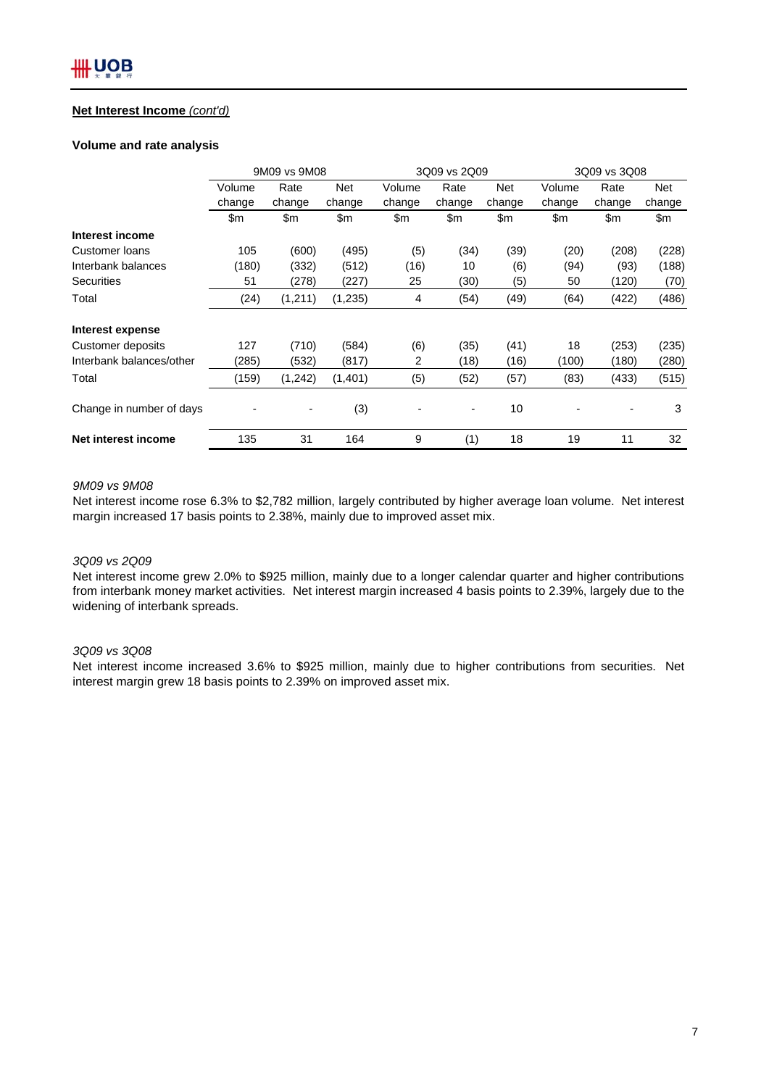### **Net Interest Income** *(cont'd)*

#### **Volume and rate analysis**

|                          |        | 9M09 vs 9M08 |            | 3Q09 vs 2Q09 |        |        | 3Q09 vs 3Q08 |        |        |
|--------------------------|--------|--------------|------------|--------------|--------|--------|--------------|--------|--------|
|                          | Volume | Rate         | <b>Net</b> | Volume       | Rate   | Net    | Volume       | Rate   | Net    |
|                          | change | change       | change     | change       | change | change | change       | change | change |
|                          | \$m    | \$m          | \$m        | \$m          | \$m    | \$m    | \$m          | \$m    | \$m    |
| Interest income          |        |              |            |              |        |        |              |        |        |
| Customer loans           | 105    | (600)        | (495)      | (5)          | (34)   | (39)   | (20)         | (208)  | (228)  |
| Interbank balances       | (180)  | (332)        | (512)      | (16)         | 10     | (6)    | (94)         | (93)   | (188)  |
| <b>Securities</b>        | 51     | (278)        | (227)      | 25           | (30)   | (5)    | 50           | (120)  | (70)   |
| Total                    | (24)   | (1, 211)     | (1,235)    | 4            | (54)   | (49)   | (64)         | (422)  | (486)  |
| Interest expense         |        |              |            |              |        |        |              |        |        |
| <b>Customer deposits</b> | 127    | (710)        | (584)      | (6)          | (35)   | (41)   | 18           | (253)  | (235)  |
| Interbank balances/other | (285)  | (532)        | (817)      | 2            | (18)   | (16)   | (100)        | (180)  | (280)  |
| Total                    | (159)  | (1,242)      | (1,401)    | (5)          | (52)   | (57)   | (83)         | (433)  | (515)  |
| Change in number of days |        |              | (3)        |              |        | 10     |              |        | 3      |
| Net interest income      | 135    | 31           | 164        | 9            | (1)    | 18     | 19           | 11     | 32     |

#### *9M09 vs 9M08*

Net interest income rose 6.3% to \$2,782 million, largely contributed by higher average loan volume. Net interest margin increased 17 basis points to 2.38%, mainly due to improved asset mix.

### *3Q09 vs 2Q09*

Net interest income grew 2.0% to \$925 million, mainly due to a longer calendar quarter and higher contributions from interbank money market activities. Net interest margin increased 4 basis points to 2.39%, largely due to the widening of interbank spreads.

#### *3Q09 vs 3Q08*

Net interest income increased 3.6% to \$925 million, mainly due to higher contributions from securities. Net interest margin grew 18 basis points to 2.39% on improved asset mix.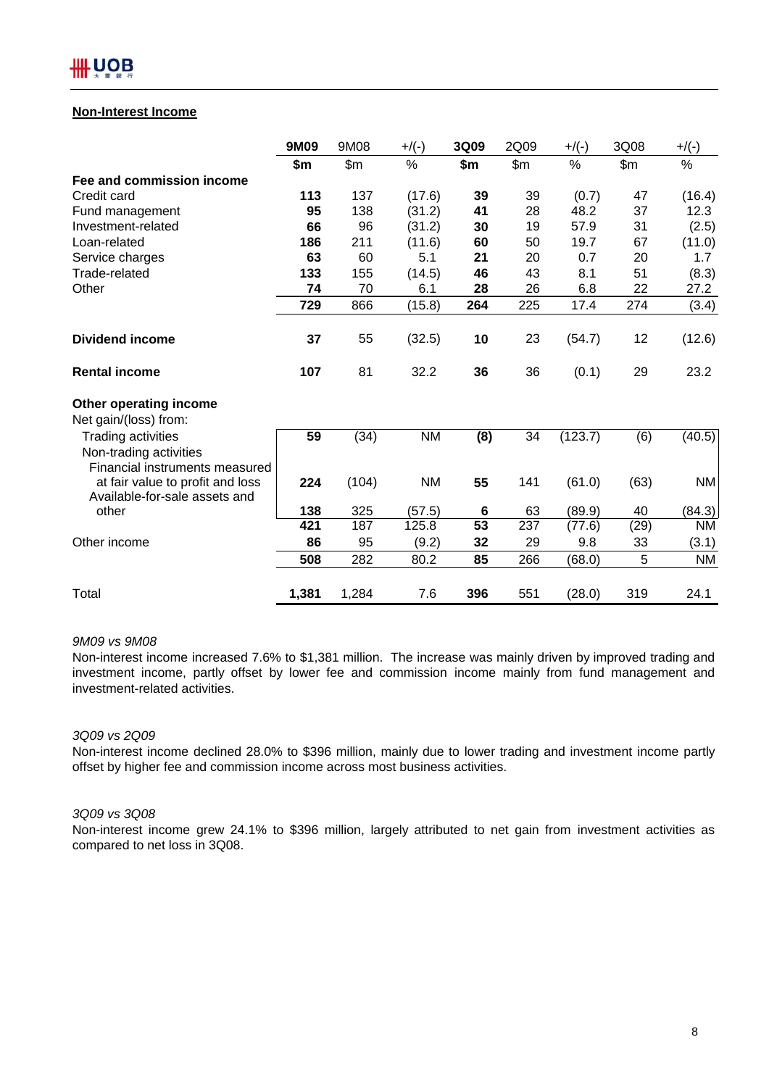## **Non-Interest Income**

|                                                                   | 9M09  | 9M08  | $+$ /(-)  | 3Q09    | 2Q09  | $+$ /(-) | 3Q08  | $+/(-)$   |
|-------------------------------------------------------------------|-------|-------|-----------|---------|-------|----------|-------|-----------|
|                                                                   | \$m   | \$m\$ | $\%$      | \$m     | \$m\$ | $\%$     | \$m\$ | $\%$      |
| Fee and commission income                                         |       |       |           |         |       |          |       |           |
| Credit card                                                       | 113   | 137   | (17.6)    | 39      | 39    | (0.7)    | 47    | (16.4)    |
| Fund management                                                   | 95    | 138   | (31.2)    | 41      | 28    | 48.2     | 37    | 12.3      |
| Investment-related                                                | 66    | 96    | (31.2)    | 30      | 19    | 57.9     | 31    | (2.5)     |
| Loan-related                                                      | 186   | 211   | (11.6)    | 60      | 50    | 19.7     | 67    | (11.0)    |
| Service charges                                                   | 63    | 60    | 5.1       | 21      | 20    | 0.7      | 20    | 1.7       |
| Trade-related                                                     | 133   | 155   | (14.5)    | 46      | 43    | 8.1      | 51    | (8.3)     |
| Other                                                             | 74    | 70    | 6.1       | 28      | 26    | 6.8      | 22    | 27.2      |
|                                                                   | 729   | 866   | (15.8)    | 264     | 225   | 17.4     | 274   | (3.4)     |
| <b>Dividend income</b>                                            | 37    | 55    | (32.5)    | 10      | 23    | (54.7)   | 12    | (12.6)    |
| <b>Rental income</b>                                              | 107   | 81    | 32.2      | 36      | 36    | (0.1)    | 29    | 23.2      |
| Other operating income                                            |       |       |           |         |       |          |       |           |
| Net gain/(loss) from:                                             |       |       |           |         |       |          |       |           |
| Trading activities                                                | 59    | (34)  | <b>NM</b> | (8)     | 34    | (123.7)  | (6)   | (40.5)    |
| Non-trading activities<br>Financial instruments measured          |       |       |           |         |       |          |       |           |
| at fair value to profit and loss<br>Available-for-sale assets and | 224   | (104) | <b>NM</b> | 55      | 141   | (61.0)   | (63)  | <b>NM</b> |
| other                                                             | 138   | 325   | (57.5)    | $\bf 6$ | 63    | (89.9)   | 40    | (84.3)    |
|                                                                   | 421   | 187   | 125.8     | 53      | 237   | (77.6)   | (29)  | <b>NM</b> |
| Other income                                                      | 86    | 95    | (9.2)     | 32      | 29    | 9.8      | 33    | (3.1)     |
|                                                                   | 508   | 282   | 80.2      | 85      | 266   | (68.0)   | 5     | <b>NM</b> |
| Total                                                             | 1,381 | 1,284 | 7.6       | 396     | 551   | (28.0)   | 319   | 24.1      |

#### *9M09 vs 9M08*

Non-interest income increased 7.6% to \$1,381 million. The increase was mainly driven by improved trading and investment income, partly offset by lower fee and commission income mainly from fund management and investment-related activities.

#### *3Q09 vs 2Q09*

Non-interest income declined 28.0% to \$396 million, mainly due to lower trading and investment income partly offset by higher fee and commission income across most business activities.

#### *3Q09 vs 3Q08*

Non-interest income grew 24.1% to \$396 million, largely attributed to net gain from investment activities as compared to net loss in 3Q08.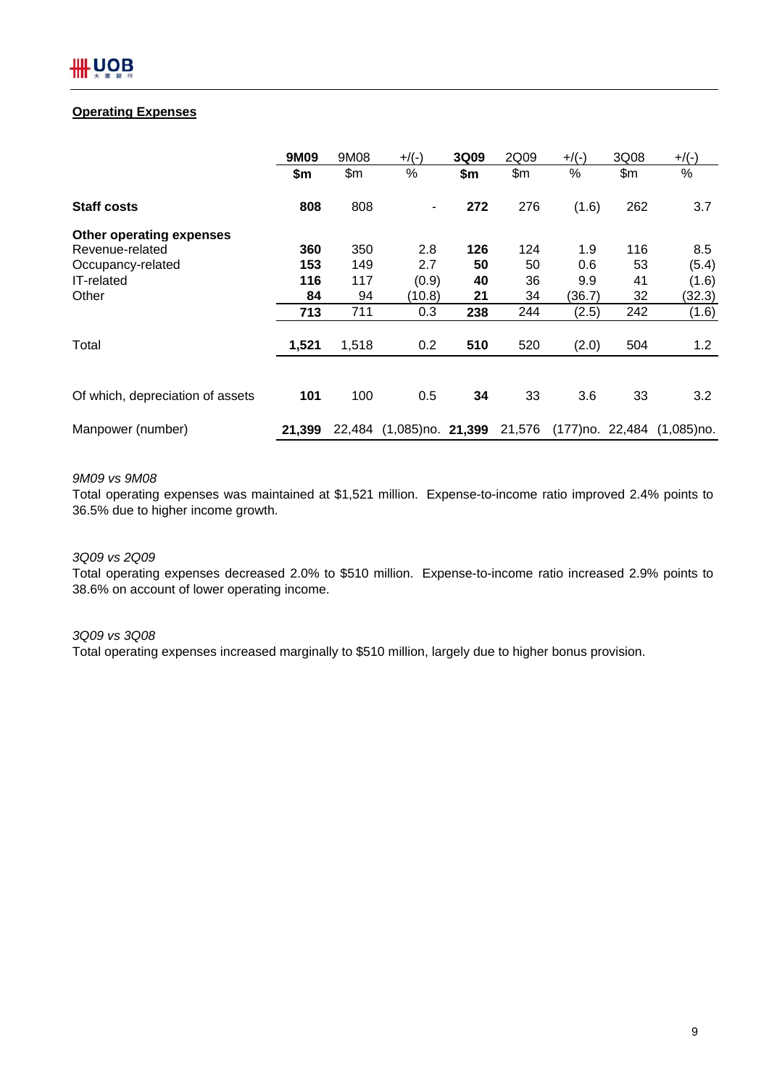## **Operating Expenses**

|                                  | 9M09   | 9M08   | $+/(-)$                     | 3Q09 | 2Q09   | $+$ /(-)         | 3Q08 | $+$ /(-)      |
|----------------------------------|--------|--------|-----------------------------|------|--------|------------------|------|---------------|
|                                  | \$m    | \$m\$  | $\%$                        | \$m  | \$m    | %                | \$m  | $\%$          |
| <b>Staff costs</b>               | 808    | 808    | ۰                           | 272  | 276    | (1.6)            | 262  | 3.7           |
| Other operating expenses         |        |        |                             |      |        |                  |      |               |
| Revenue-related                  | 360    | 350    | 2.8                         | 126  | 124    | 1.9              | 116  | 8.5           |
| Occupancy-related                | 153    | 149    | 2.7                         | 50   | 50     | 0.6              | 53   | (5.4)         |
| <b>IT-related</b>                | 116    | 117    | (0.9)                       | 40   | 36     | 9.9              | 41   | (1.6)         |
| Other                            | 84     | 94     | (10.8)                      | 21   | 34     | (36.7)           | 32   | (32.3)        |
|                                  | 713    | 711    | 0.3                         | 238  | 244    | (2.5)            | 242  | (1.6)         |
| Total                            | 1,521  | 1,518  | 0.2                         | 510  | 520    | (2.0)            | 504  | 1.2           |
|                                  |        |        |                             |      |        |                  |      |               |
| Of which, depreciation of assets | 101    | 100    | 0.5                         | 34   | 33     | 3.6              | 33   | 3.2           |
| Manpower (number)                | 21.399 | 22,484 | $(1,085)$ no. <b>21,399</b> |      | 21,576 | (177) no. 22,484 |      | $(1.085)$ no. |

## *9M09 vs 9M08*

Total operating expenses was maintained at \$1,521 million. Expense-to-income ratio improved 2.4% points to 36.5% due to higher income growth.

## *3Q09 vs 2Q09*

Total operating expenses decreased 2.0% to \$510 million. Expense-to-income ratio increased 2.9% points to 38.6% on account of lower operating income.

#### *3Q09 vs 3Q08*

Total operating expenses increased marginally to \$510 million, largely due to higher bonus provision.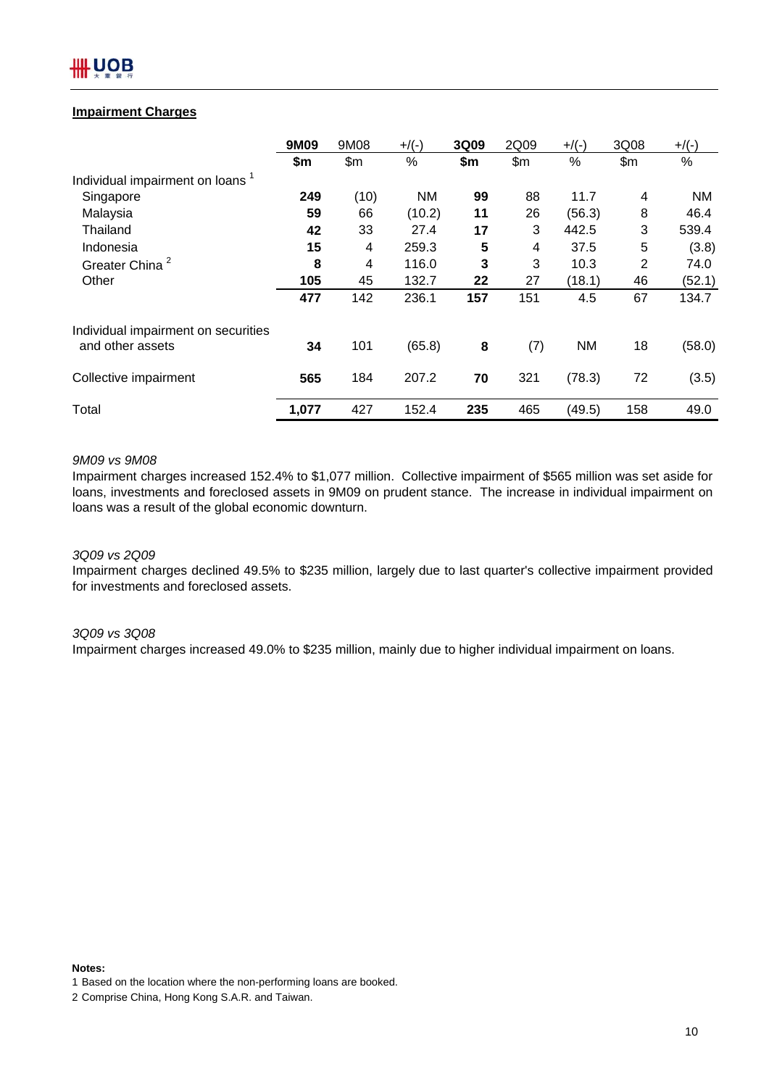# JOB

## **Impairment Charges**

|                                             | 9M09  | 9M08  | $+$ /(-)  | 3Q09 | 2Q09  | $+$ /(-)  | 3Q08 | $+$ /(-)  |
|---------------------------------------------|-------|-------|-----------|------|-------|-----------|------|-----------|
|                                             | \$m   | \$m\$ | $\%$      | \$m  | \$m\$ | $\%$      | \$m  | $\%$      |
| Individual impairment on loans <sup>1</sup> |       |       |           |      |       |           |      |           |
| Singapore                                   | 249   | (10)  | <b>NM</b> | 99   | 88    | 11.7      | 4    | <b>NM</b> |
| Malaysia                                    | 59    | 66    | (10.2)    | 11   | 26    | (56.3)    | 8    | 46.4      |
| Thailand                                    | 42    | 33    | 27.4      | 17   | 3     | 442.5     | 3    | 539.4     |
| Indonesia                                   | 15    | 4     | 259.3     | 5    | 4     | 37.5      | 5    | (3.8)     |
| Greater China <sup>2</sup>                  | 8     | 4     | 116.0     | 3    | 3     | 10.3      | 2    | 74.0      |
| Other                                       | 105   | 45    | 132.7     | 22   | 27    | (18.1)    | 46   | (52.1)    |
|                                             | 477   | 142   | 236.1     | 157  | 151   | 4.5       | 67   | 134.7     |
| Individual impairment on securities         |       |       |           |      |       |           |      |           |
| and other assets                            | 34    | 101   | (65.8)    | 8    | (7)   | <b>NM</b> | 18   | (58.0)    |
| Collective impairment                       | 565   | 184   | 207.2     | 70   | 321   | (78.3)    | 72   | (3.5)     |
| Total                                       | 1,077 | 427   | 152.4     | 235  | 465   | (49.5)    | 158  | 49.0      |

### *9M09 vs 9M08*

Impairment charges increased 152.4% to \$1,077 million. Collective impairment of \$565 million was set aside for loans, investments and foreclosed assets in 9M09 on prudent stance. The increase in individual impairment on loans was a result of the global economic downturn.

#### *3Q09 vs 2Q09*

Impairment charges declined 49.5% to \$235 million, largely due to last quarter's collective impairment provided for investments and foreclosed assets.

#### *3Q09 vs 3Q08*

Impairment charges increased 49.0% to \$235 million, mainly due to higher individual impairment on loans.

## **Notes:**

1 Based on the location where the non-performing loans are booked.

<sup>2</sup> Comprise China, Hong Kong S.A.R. and Taiwan.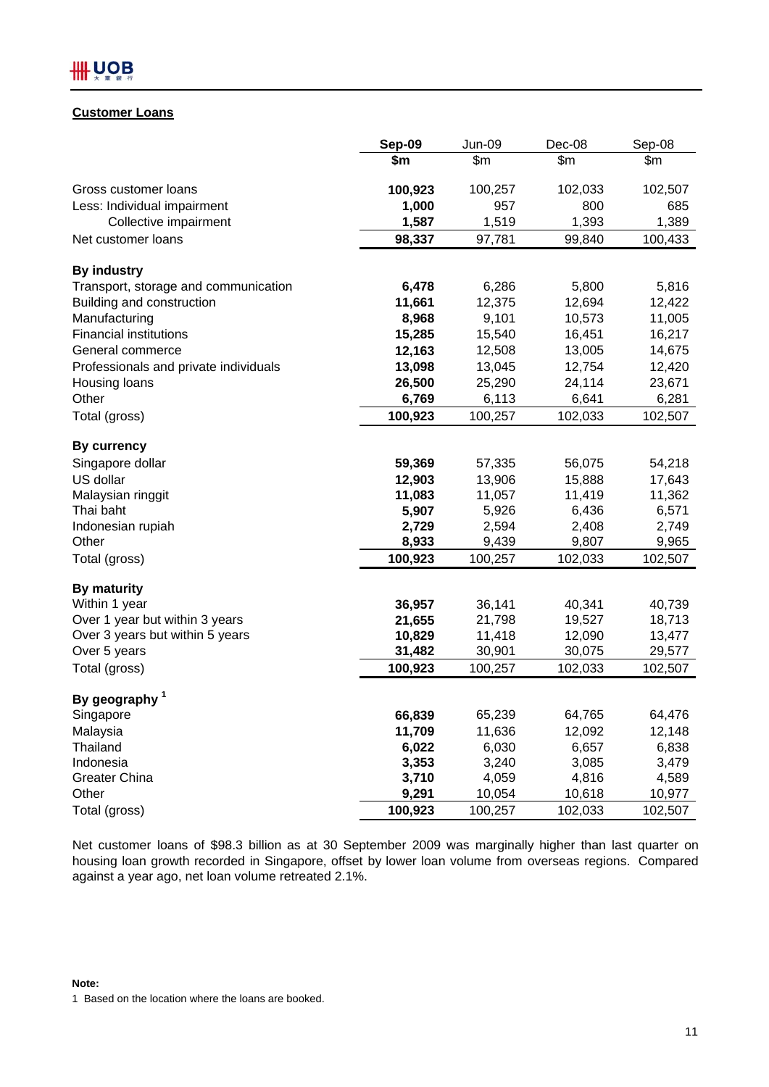## IIII UOB

## **Customer Loans**

|                                       | Sep-09  | <b>Jun-09</b> | Dec-08  | Sep-08  |
|---------------------------------------|---------|---------------|---------|---------|
|                                       | \$m     | \$m           | \$m     | \$m     |
| Gross customer loans                  | 100,923 | 100,257       | 102,033 | 102,507 |
| Less: Individual impairment           | 1,000   | 957           | 800     | 685     |
| Collective impairment                 | 1,587   | 1,519         | 1,393   | 1,389   |
| Net customer loans                    | 98,337  | 97,781        | 99,840  | 100,433 |
| <b>By industry</b>                    |         |               |         |         |
| Transport, storage and communication  | 6,478   | 6,286         | 5,800   | 5,816   |
| Building and construction             | 11,661  | 12,375        | 12,694  | 12,422  |
| Manufacturing                         | 8,968   | 9,101         | 10,573  | 11,005  |
| <b>Financial institutions</b>         | 15,285  | 15,540        | 16,451  | 16,217  |
| General commerce                      | 12,163  | 12,508        | 13,005  | 14,675  |
| Professionals and private individuals | 13,098  | 13,045        | 12,754  | 12,420  |
| Housing loans                         | 26,500  | 25,290        | 24,114  | 23,671  |
| Other                                 | 6,769   | 6,113         | 6,641   | 6,281   |
| Total (gross)                         | 100,923 | 100,257       | 102,033 | 102,507 |
| <b>By currency</b>                    |         |               |         |         |
| Singapore dollar                      | 59,369  | 57,335        | 56,075  | 54,218  |
| US dollar                             | 12,903  | 13,906        | 15,888  | 17,643  |
| Malaysian ringgit                     | 11,083  | 11,057        | 11,419  | 11,362  |
| Thai baht                             | 5,907   | 5,926         | 6,436   | 6,571   |
| Indonesian rupiah                     | 2,729   | 2,594         | 2,408   | 2,749   |
| Other                                 | 8,933   | 9,439         | 9,807   | 9,965   |
| Total (gross)                         | 100,923 | 100,257       | 102,033 | 102,507 |
| <b>By maturity</b>                    |         |               |         |         |
| Within 1 year                         | 36,957  | 36,141        | 40,341  | 40,739  |
| Over 1 year but within 3 years        | 21,655  | 21,798        | 19,527  | 18,713  |
| Over 3 years but within 5 years       | 10,829  | 11,418        | 12,090  | 13,477  |
| Over 5 years                          | 31,482  | 30,901        | 30,075  | 29,577  |
| Total (gross)                         | 100,923 | 100,257       | 102,033 | 102,507 |
| By geography <sup>1</sup>             |         |               |         |         |
| Singapore                             | 66,839  | 65,239        | 64,765  | 64,476  |
| Malaysia                              | 11,709  | 11,636        | 12,092  | 12,148  |
| Thailand                              | 6,022   | 6,030         | 6,657   | 6,838   |
| Indonesia                             | 3,353   | 3,240         | 3,085   | 3,479   |
| Greater China                         | 3,710   | 4,059         | 4,816   | 4,589   |
| Other                                 | 9,291   | 10,054        | 10,618  | 10,977  |
| Total (gross)                         | 100,923 | 100,257       | 102,033 | 102,507 |

Net customer loans of \$98.3 billion as at 30 September 2009 was marginally higher than last quarter on housing loan growth recorded in Singapore, offset by lower loan volume from overseas regions. Compared against a year ago, net loan volume retreated 2.1%.

### **Note:**

<sup>1</sup> Based on the location where the loans are booked.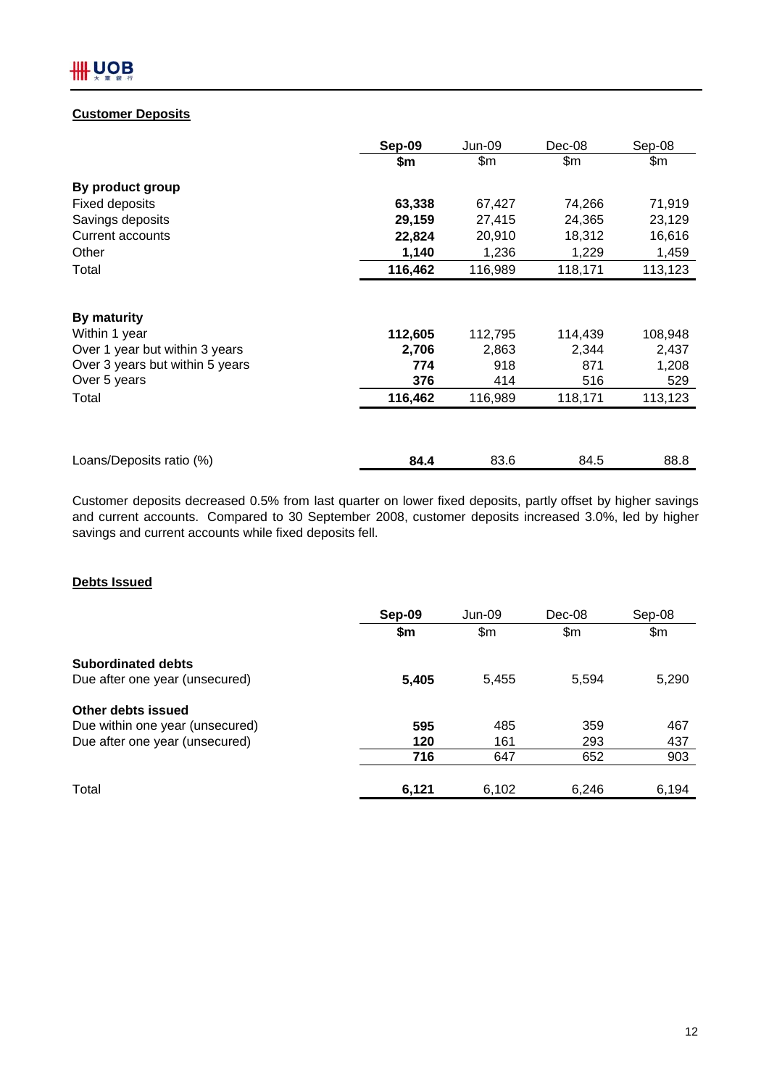## **Customer Deposits**

|                                 | Sep-09  | <b>Jun-09</b> | Dec-08  | Sep-08  |
|---------------------------------|---------|---------------|---------|---------|
|                                 | \$m     | \$m           | \$m     | \$m     |
| By product group                |         |               |         |         |
| <b>Fixed deposits</b>           | 63,338  | 67,427        | 74,266  | 71,919  |
| Savings deposits                | 29,159  | 27,415        | 24,365  | 23,129  |
| Current accounts                | 22,824  | 20,910        | 18,312  | 16,616  |
| Other                           | 1,140   | 1,236         | 1,229   | 1,459   |
| Total                           | 116,462 | 116,989       | 118,171 | 113,123 |
|                                 |         |               |         |         |
| By maturity                     |         |               |         |         |
| Within 1 year                   | 112,605 | 112,795       | 114,439 | 108,948 |
| Over 1 year but within 3 years  | 2,706   | 2,863         | 2,344   | 2,437   |
| Over 3 years but within 5 years | 774     | 918           | 871     | 1,208   |
| Over 5 years                    | 376     | 414           | 516     | 529     |
| Total                           | 116,462 | 116,989       | 118,171 | 113,123 |
|                                 |         |               |         |         |
| Loans/Deposits ratio (%)        | 84.4    | 83.6          | 84.5    | 88.8    |

Customer deposits decreased 0.5% from last quarter on lower fixed deposits, partly offset by higher savings and current accounts. Compared to 30 September 2008, customer deposits increased 3.0%, led by higher savings and current accounts while fixed deposits fell.

## **Debts Issued**

|                                 | Sep-09 | Jun-09 | Dec-08 | Sep-08 |
|---------------------------------|--------|--------|--------|--------|
|                                 | \$m\$  | \$m\$  | \$m    | \$m\$  |
| <b>Subordinated debts</b>       |        |        |        |        |
| Due after one year (unsecured)  | 5,405  | 5,455  | 5,594  | 5,290  |
| Other debts issued              |        |        |        |        |
| Due within one year (unsecured) | 595    | 485    | 359    | 467    |
| Due after one year (unsecured)  | 120    | 161    | 293    | 437    |
|                                 | 716    | 647    | 652    | 903    |
| Total                           | 6,121  | 6,102  | 6,246  | 6,194  |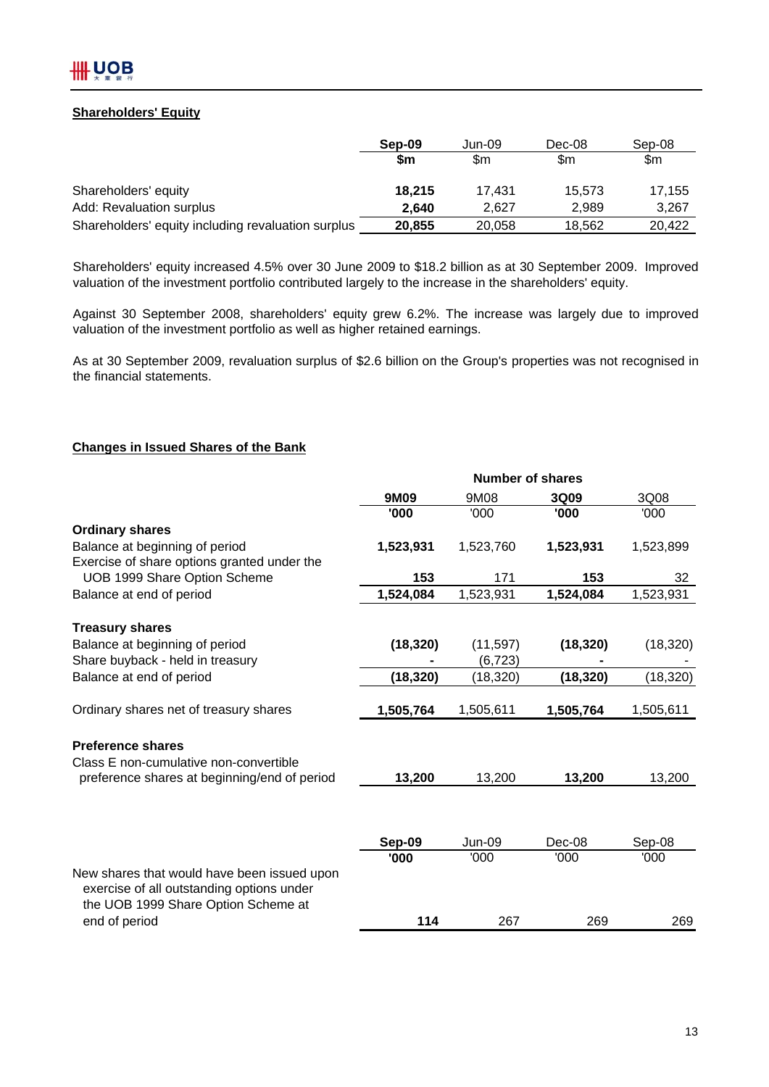## **Shareholders' Equity**

|                                                    | Sep-09 | Jun-09 | Dec-08 | Sep-08 |
|----------------------------------------------------|--------|--------|--------|--------|
|                                                    | \$m    | \$m    | \$m    | \$m    |
| Shareholders' equity                               | 18.215 | 17.431 | 15.573 | 17.155 |
| Add: Revaluation surplus                           | 2.640  | 2.627  | 2.989  | 3,267  |
| Shareholders' equity including revaluation surplus | 20,855 | 20,058 | 18,562 | 20.422 |

Shareholders' equity increased 4.5% over 30 June 2009 to \$18.2 billion as at 30 September 2009. Improved valuation of the investment portfolio contributed largely to the increase in the shareholders' equity.

Against 30 September 2008, shareholders' equity grew 6.2%. The increase was largely due to improved valuation of the investment portfolio as well as higher retained earnings.

As at 30 September 2009, revaluation surplus of \$2.6 billion on the Group's properties was not recognised in the financial statements.

### **Changes in Issued Shares of the Bank**

|                                                                                          |           | <b>Number of shares</b> |           |           |
|------------------------------------------------------------------------------------------|-----------|-------------------------|-----------|-----------|
|                                                                                          | 9M09      | 9M08                    | 3Q09      | 3Q08      |
|                                                                                          | '000      | '000                    | '000      | '000      |
| <b>Ordinary shares</b>                                                                   |           |                         |           |           |
| Balance at beginning of period                                                           | 1,523,931 | 1,523,760               | 1,523,931 | 1,523,899 |
| Exercise of share options granted under the                                              |           |                         |           |           |
| UOB 1999 Share Option Scheme                                                             | 153       | 171                     | 153       | 32        |
| Balance at end of period                                                                 | 1,524,084 | 1,523,931               | 1,524,084 | 1,523,931 |
| <b>Treasury shares</b>                                                                   |           |                         |           |           |
| Balance at beginning of period                                                           | (18, 320) | (11, 597)               | (18, 320) | (18, 320) |
| Share buyback - held in treasury                                                         |           | (6, 723)                |           |           |
| Balance at end of period                                                                 | (18, 320) | (18,320)                | (18, 320) | (18, 320) |
| Ordinary shares net of treasury shares                                                   | 1,505,764 | 1,505,611               | 1,505,764 | 1,505,611 |
|                                                                                          |           |                         |           |           |
| <b>Preference shares</b>                                                                 |           |                         |           |           |
| Class E non-cumulative non-convertible                                                   |           |                         |           |           |
| preference shares at beginning/end of period                                             | 13,200    | 13,200                  | 13,200    | 13,200    |
|                                                                                          |           |                         |           |           |
|                                                                                          |           |                         |           |           |
|                                                                                          | Sep-09    | <b>Jun-09</b>           | Dec-08    | Sep-08    |
|                                                                                          | '000      | '000                    | '000      | '000      |
| New shares that would have been issued upon<br>exercise of all outstanding options under |           |                         |           |           |
| the UOB 1999 Share Option Scheme at<br>end of period                                     | 114       | 267                     | 269       | 269       |
|                                                                                          |           |                         |           |           |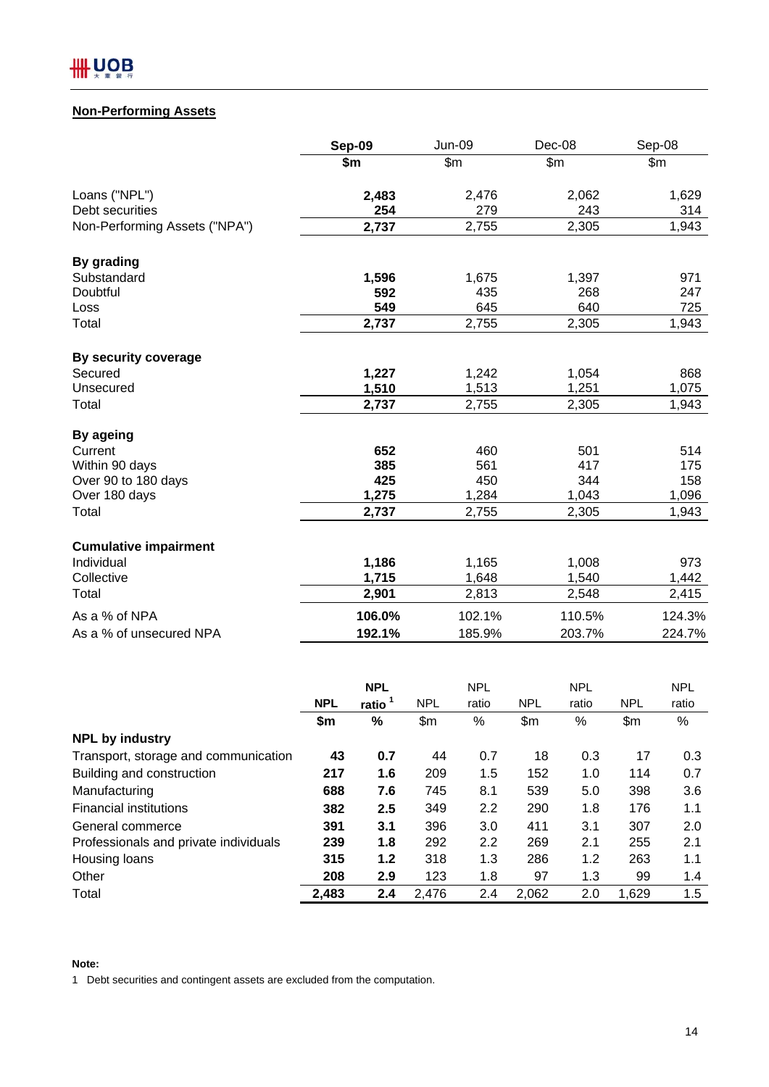

## **Non-Performing Assets**

|                               | Sep-09<br><b>Jun-09</b> |                | Dec-08         | Sep-08 |
|-------------------------------|-------------------------|----------------|----------------|--------|
|                               | \$m                     | \$m\$          | \$m\$          | \$m\$  |
| Loans ("NPL")                 | 2,483                   | 2,476          | 2,062          | 1,629  |
| Debt securities               | 254                     | 279            | 243            | 314    |
| Non-Performing Assets ("NPA") | 2,737                   | 2,755          | 2,305          | 1,943  |
| By grading                    |                         |                |                |        |
| Substandard                   | 1,596                   | 1,675          | 1,397          | 971    |
| Doubtful                      | 592                     | 435            | 268            | 247    |
| Loss                          | 549                     | 645            | 640            | 725    |
| Total                         | 2,737                   | 2,755          | 2,305          | 1,943  |
| By security coverage          |                         |                |                |        |
| Secured                       | 1,227                   | 1,242          | 1,054          | 868    |
| Unsecured                     | 1,510                   | 1,513          | 1,251          | 1,075  |
| Total                         | 2,737                   | 2,755          | 2,305          | 1,943  |
| By ageing                     |                         |                |                |        |
| Current                       | 652                     | 460            | 501            | 514    |
| Within 90 days                | 385                     | 561            | 417            | 175    |
| Over 90 to 180 days           | 425                     | 450            | 344            | 158    |
| Over 180 days                 | 1,275                   | 1,284          | 1,043          | 1,096  |
| Total                         | 2,737                   | 2,755          | 2,305          | 1,943  |
|                               |                         |                |                |        |
| <b>Cumulative impairment</b>  |                         |                |                |        |
| Individual<br>Collective      | 1,186                   | 1,165          | 1,008          | 973    |
|                               | 1,715                   | 1,648<br>2,813 | 1,540<br>2,548 | 1,442  |
| Total                         | 2,901                   |                |                | 2,415  |
| As a % of NPA                 | 106.0%                  | 102.1%         | 110.5%         | 124.3% |
| As a % of unsecured NPA       | 192.1%                  | 185.9%         | 203.7%         | 224.7% |

|                                       | <b>NPL</b> |       |            | <b>NPL</b> |            | <b>NPL</b> |            | <b>NPL</b> |  |
|---------------------------------------|------------|-------|------------|------------|------------|------------|------------|------------|--|
|                                       | <b>NPL</b> | ratio | <b>NPL</b> | ratio      | <b>NPL</b> | ratio      | <b>NPL</b> | ratio      |  |
|                                       | \$m        | %     | \$m\$      | %          | \$m        | $\%$       | \$m        | $\%$       |  |
| <b>NPL by industry</b>                |            |       |            |            |            |            |            |            |  |
| Transport, storage and communication  | 43         | 0.7   | 44         | 0.7        | 18         | 0.3        | 17         | 0.3        |  |
| Building and construction             | 217        | 1.6   | 209        | 1.5        | 152        | 1.0        | 114        | 0.7        |  |
| Manufacturing                         | 688        | 7.6   | 745        | 8.1        | 539        | 5.0        | 398        | 3.6        |  |
| <b>Financial institutions</b>         | 382        | 2.5   | 349        | 2.2        | 290        | 1.8        | 176        | 1.1        |  |
| General commerce                      | 391        | 3.1   | 396        | 3.0        | 411        | 3.1        | 307        | 2.0        |  |
| Professionals and private individuals | 239        | 1.8   | 292        | $2.2\,$    | 269        | 2.1        | 255        | 2.1        |  |
| Housing loans                         | 315        | 1.2   | 318        | 1.3        | 286        | 1.2        | 263        | 1.1        |  |
| Other                                 | 208        | 2.9   | 123        | 1.8        | 97         | 1.3        | 99         | 1.4        |  |
| Total                                 | 2,483      | 2.4   | 2,476      | 2.4        | 2,062      | 2.0        | 1,629      | 1.5        |  |

**Note:**

1 Debt securities and contingent assets are excluded from the computation.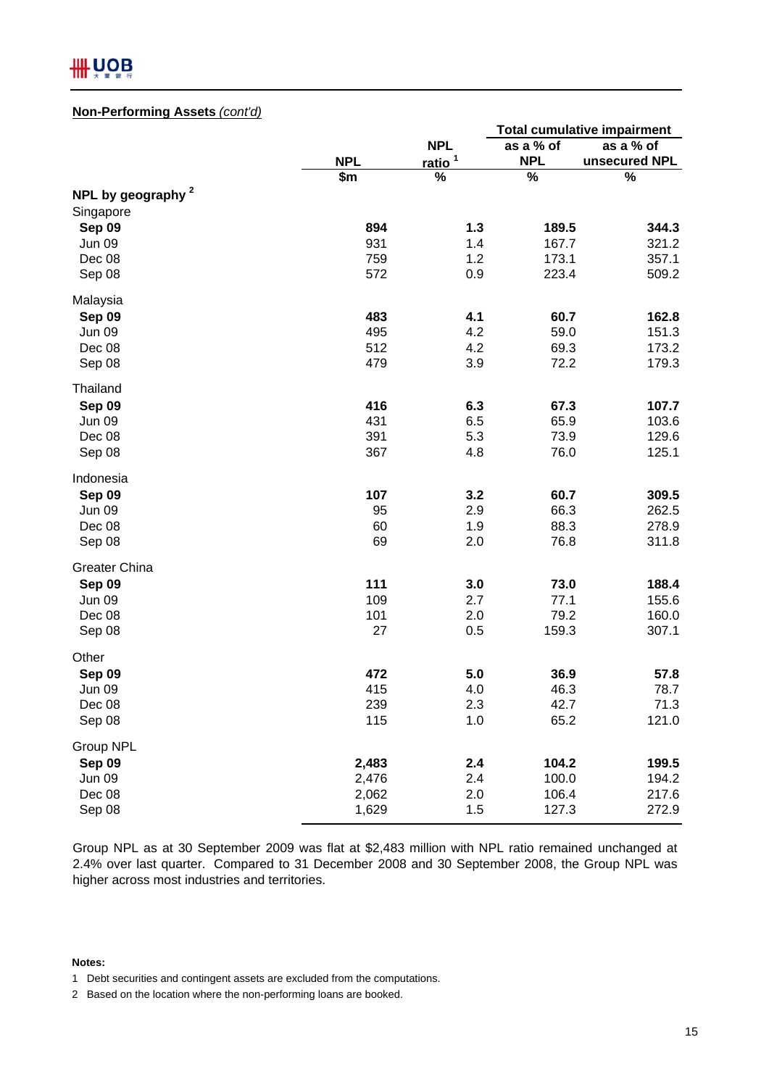## IIII UOB

## **Non-Performing Assets** *(cont'd)*

|                               |            |                    | <b>Total cumulative impairment</b> |               |  |
|-------------------------------|------------|--------------------|------------------------------------|---------------|--|
|                               |            | <b>NPL</b>         | as a % of                          | as a % of     |  |
|                               | <b>NPL</b> | ratio <sup>1</sup> | <b>NPL</b>                         | unsecured NPL |  |
|                               | \$m        | %                  | $\frac{9}{6}$                      | $\%$          |  |
| NPL by geography <sup>2</sup> |            |                    |                                    |               |  |
| Singapore                     |            |                    |                                    |               |  |
| Sep 09                        | 894        | 1.3                | 189.5                              | 344.3         |  |
| <b>Jun 09</b>                 | 931        | 1.4                | 167.7                              | 321.2         |  |
| Dec 08                        | 759<br>572 | 1.2                | 173.1<br>223.4                     | 357.1         |  |
| Sep 08                        |            | 0.9                |                                    | 509.2         |  |
| Malaysia                      |            |                    |                                    |               |  |
| Sep 09                        | 483        | 4.1                | 60.7                               | 162.8         |  |
| Jun 09                        | 495        | 4.2                | 59.0                               | 151.3         |  |
| Dec 08                        | 512        | 4.2                | 69.3                               | 173.2         |  |
| Sep 08                        | 479        | 3.9                | 72.2                               | 179.3         |  |
| Thailand                      |            |                    |                                    |               |  |
| Sep 09                        | 416        | 6.3                | 67.3                               | 107.7         |  |
| <b>Jun 09</b>                 | 431        | 6.5                | 65.9                               | 103.6         |  |
| Dec 08                        | 391        | 5.3                | 73.9                               | 129.6         |  |
| Sep 08                        | 367        | 4.8                | 76.0                               | 125.1         |  |
| Indonesia                     |            |                    |                                    |               |  |
| Sep 09                        | 107        | 3.2                | 60.7                               | 309.5         |  |
| <b>Jun 09</b>                 | 95         | 2.9                | 66.3                               | 262.5         |  |
| Dec 08                        | 60         | 1.9                | 88.3                               | 278.9         |  |
| Sep 08                        | 69         | 2.0                | 76.8                               | 311.8         |  |
| <b>Greater China</b>          |            |                    |                                    |               |  |
| Sep 09                        | 111        | 3.0                | 73.0                               | 188.4         |  |
| <b>Jun 09</b>                 | 109        | 2.7                | 77.1                               | 155.6         |  |
| Dec 08                        | 101        | 2.0                | 79.2                               | 160.0         |  |
| Sep 08                        | 27         | 0.5                | 159.3                              | 307.1         |  |
| Other                         |            |                    |                                    |               |  |
| Sep 09                        | 472        | 5.0                | 36.9                               | 57.8          |  |
| Jun 09                        | 415        | 4.0                | 46.3                               | 78.7          |  |
| Dec 08                        | 239        | 2.3                | 42.7                               | 71.3          |  |
| Sep 08                        | 115        | 1.0                | 65.2                               | 121.0         |  |
| Group NPL                     |            |                    |                                    |               |  |
| Sep 09                        | 2,483      | 2.4                | 104.2                              | 199.5         |  |
| Jun 09                        | 2,476      | 2.4                | 100.0                              | 194.2         |  |
| Dec 08                        | 2,062      | 2.0                | 106.4                              | 217.6         |  |
| Sep 08                        | 1,629      | 1.5                | 127.3                              | 272.9         |  |

Group NPL as at 30 September 2009 was flat at \$2,483 million with NPL ratio remained unchanged at 2.4% over last quarter. Compared to 31 December 2008 and 30 September 2008, the Group NPL was higher across most industries and territories.

#### **Notes:**

<sup>1</sup> Debt securities and contingent assets are excluded from the computations.

<sup>2</sup> Based on the location where the non-performing loans are booked.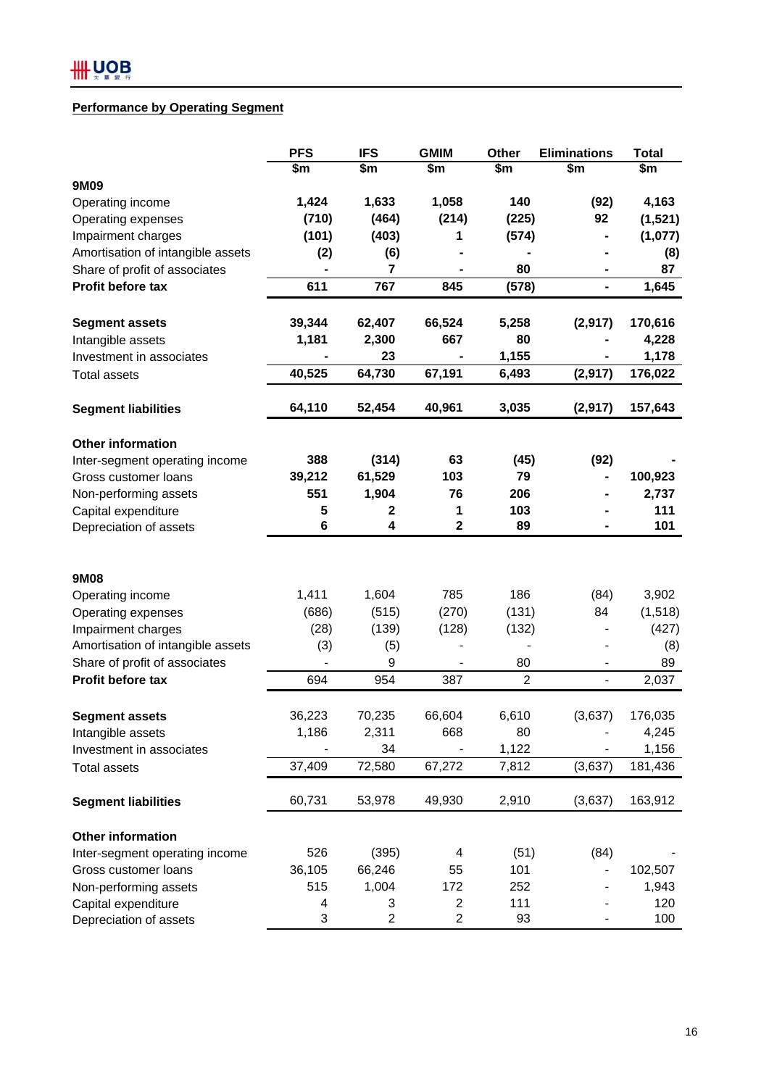## **Performance by Operating Segment**

|                                   | <b>PFS</b>     | <b>IFS</b>              | <b>GMIM</b>             | Other            | <b>Eliminations</b>      | <b>Total</b> |
|-----------------------------------|----------------|-------------------------|-------------------------|------------------|--------------------------|--------------|
|                                   | \$m            | \$m                     | \$m                     | \$m              | \$m                      | \$m          |
| 9M09                              |                |                         |                         |                  |                          |              |
| Operating income                  | 1,424          | 1,633                   | 1,058                   | 140              | (92)                     | 4,163        |
| Operating expenses                | (710)          | (464)                   | (214)                   | (225)            | 92                       | (1,521)      |
| Impairment charges                | (101)          | (403)                   | 1                       | (574)            |                          | (1,077)      |
| Amortisation of intangible assets | (2)            | (6)                     |                         |                  |                          | (8)          |
| Share of profit of associates     |                | 7                       |                         | 80               |                          | 87           |
| Profit before tax                 | 611            | 767                     | 845                     | (578)            | ۰                        | 1,645        |
| <b>Segment assets</b>             | 39,344         | 62,407                  | 66,524                  | 5,258            | (2, 917)                 | 170,616      |
| Intangible assets                 | 1,181          | 2,300                   | 667                     | 80               |                          | 4,228        |
| Investment in associates          |                | 23                      |                         | 1,155            |                          | 1,178        |
| <b>Total assets</b>               | 40,525         | 64,730                  | 67,191                  | 6,493            | (2, 917)                 | 176,022      |
| <b>Segment liabilities</b>        | 64,110         | 52,454                  | 40,961                  | 3,035            | (2, 917)                 | 157,643      |
| <b>Other information</b>          |                |                         |                         |                  |                          |              |
| Inter-segment operating income    | 388            | (314)                   | 63                      | (45)             | (92)                     |              |
| Gross customer loans              | 39,212         | 61,529                  | 103                     | 79               |                          | 100,923      |
| Non-performing assets             | 551            | 1,904                   | 76                      | 206              |                          | 2,737        |
| Capital expenditure               | 5              | 2                       | 1                       | 103              |                          | 111          |
| Depreciation of assets            | $6\phantom{1}$ | 4                       | $\mathbf 2$             | 89               |                          | 101          |
|                                   |                |                         |                         |                  |                          |              |
| 9M08                              |                |                         |                         |                  |                          |              |
| Operating income                  | 1,411          | 1,604                   | 785                     | 186              | (84)                     | 3,902        |
| Operating expenses                | (686)          | (515)                   | (270)                   | (131)            | 84                       | (1, 518)     |
| Impairment charges                | (28)           | (139)                   | (128)                   | (132)            |                          | (427)        |
| Amortisation of intangible assets | (3)            | (5)                     |                         |                  |                          | (8)          |
| Share of profit of associates     |                | 9                       |                         | 80               |                          | 89           |
| Profit before tax                 | 694            | 954                     | 387                     | $\boldsymbol{2}$ | $\overline{\phantom{0}}$ | 2,037        |
| <b>Segment assets</b>             | 36,223         | 70,235                  | 66,604                  | 6,610            | (3,637)                  | 176,035      |
| Intangible assets                 | 1,186          | 2,311                   | 668                     | 80               |                          | 4,245        |
| Investment in associates          |                | 34                      |                         | 1,122            |                          | 1,156        |
| <b>Total assets</b>               | 37,409         | 72,580                  | 67,272                  | 7,812            | (3,637)                  | 181,436      |
| <b>Segment liabilities</b>        | 60,731         | 53,978                  | 49,930                  | 2,910            | (3,637)                  | 163,912      |
| Other information                 |                |                         |                         |                  |                          |              |
| Inter-segment operating income    | 526            | (395)                   | 4                       | (51)             | (84)                     |              |
| Gross customer loans              | 36,105         | 66,246                  | 55                      | 101              |                          | 102,507      |
| Non-performing assets             | 515            | 1,004                   | 172                     | 252              |                          | 1,943        |
| Capital expenditure               | 4              | 3                       | $\overline{\mathbf{c}}$ | 111              |                          | 120          |
| Depreciation of assets            | 3              | $\overline{\mathbf{c}}$ | $\overline{\mathbf{c}}$ | 93               |                          | 100          |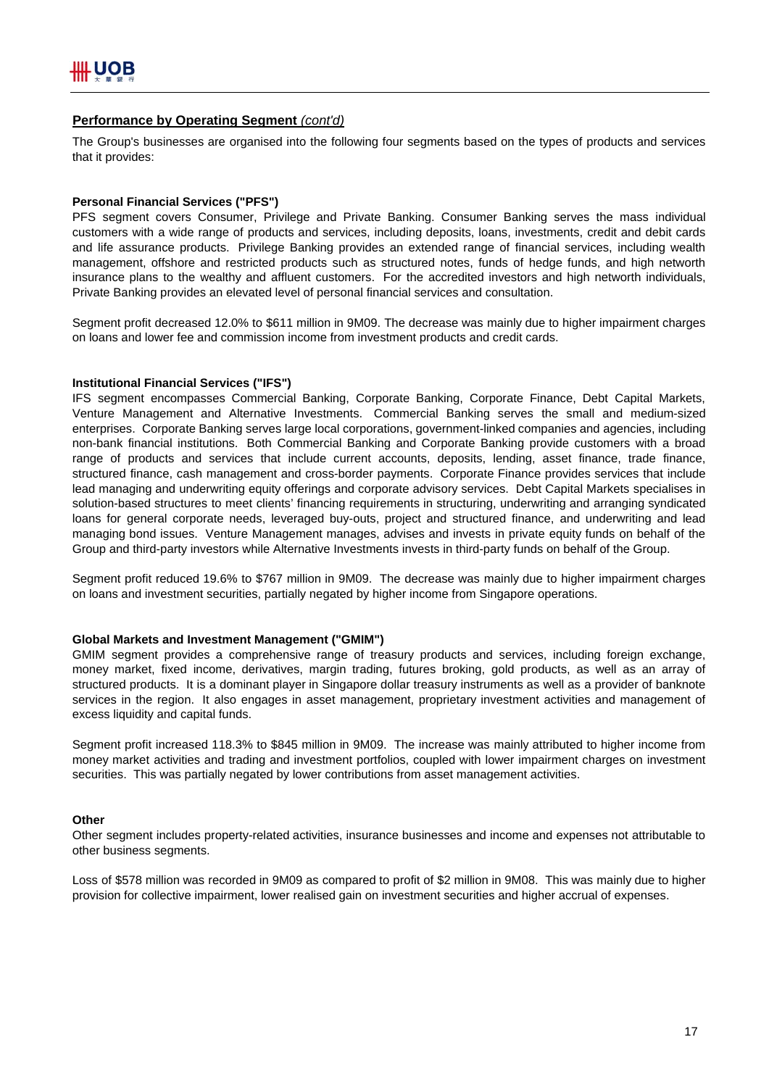### **Performance by Operating Segment** *(cont'd)*

The Group's businesses are organised into the following four segments based on the types of products and services that it provides:

#### **Personal Financial Services ("PFS")**

PFS segment covers Consumer, Privilege and Private Banking. Consumer Banking serves the mass individual customers with a wide range of products and services, including deposits, loans, investments, credit and debit cards and life assurance products. Privilege Banking provides an extended range of financial services, including wealth management, offshore and restricted products such as structured notes, funds of hedge funds, and high networth insurance plans to the wealthy and affluent customers. For the accredited investors and high networth individuals, Private Banking provides an elevated level of personal financial services and consultation.

Segment profit decreased 12.0% to \$611 million in 9M09. The decrease was mainly due to higher impairment charges on loans and lower fee and commission income from investment products and credit cards.

#### **Institutional Financial Services ("IFS")**

IFS segment encompasses Commercial Banking, Corporate Banking, Corporate Finance, Debt Capital Markets, Venture Management and Alternative Investments. Commercial Banking serves the small and medium-sized enterprises. Corporate Banking serves large local corporations, government-linked companies and agencies, including non-bank financial institutions. Both Commercial Banking and Corporate Banking provide customers with a broad range of products and services that include current accounts, deposits, lending, asset finance, trade finance, structured finance, cash management and cross-border payments. Corporate Finance provides services that include lead managing and underwriting equity offerings and corporate advisory services. Debt Capital Markets specialises in solution-based structures to meet clients' financing requirements in structuring, underwriting and arranging syndicated loans for general corporate needs, leveraged buy-outs, project and structured finance, and underwriting and lead managing bond issues. Venture Management manages, advises and invests in private equity funds on behalf of the Group and third-party investors while Alternative Investments invests in third-party funds on behalf of the Group.

Segment profit reduced 19.6% to \$767 million in 9M09. The decrease was mainly due to higher impairment charges on loans and investment securities, partially negated by higher income from Singapore operations.

#### **Global Markets and Investment Management ("GMIM")**

GMIM segment provides a comprehensive range of treasury products and services, including foreign exchange, money market, fixed income, derivatives, margin trading, futures broking, gold products, as well as an array of structured products. It is a dominant player in Singapore dollar treasury instruments as well as a provider of banknote services in the region. It also engages in asset management, proprietary investment activities and management of excess liquidity and capital funds.

Segment profit increased 118.3% to \$845 million in 9M09. The increase was mainly attributed to higher income from money market activities and trading and investment portfolios, coupled with lower impairment charges on investment securities. This was partially negated by lower contributions from asset management activities.

#### **Other**

Other segment includes property-related activities, insurance businesses and income and expenses not attributable to other business segments.

Loss of \$578 million was recorded in 9M09 as compared to profit of \$2 million in 9M08. This was mainly due to higher provision for collective impairment, lower realised gain on investment securities and higher accrual of expenses.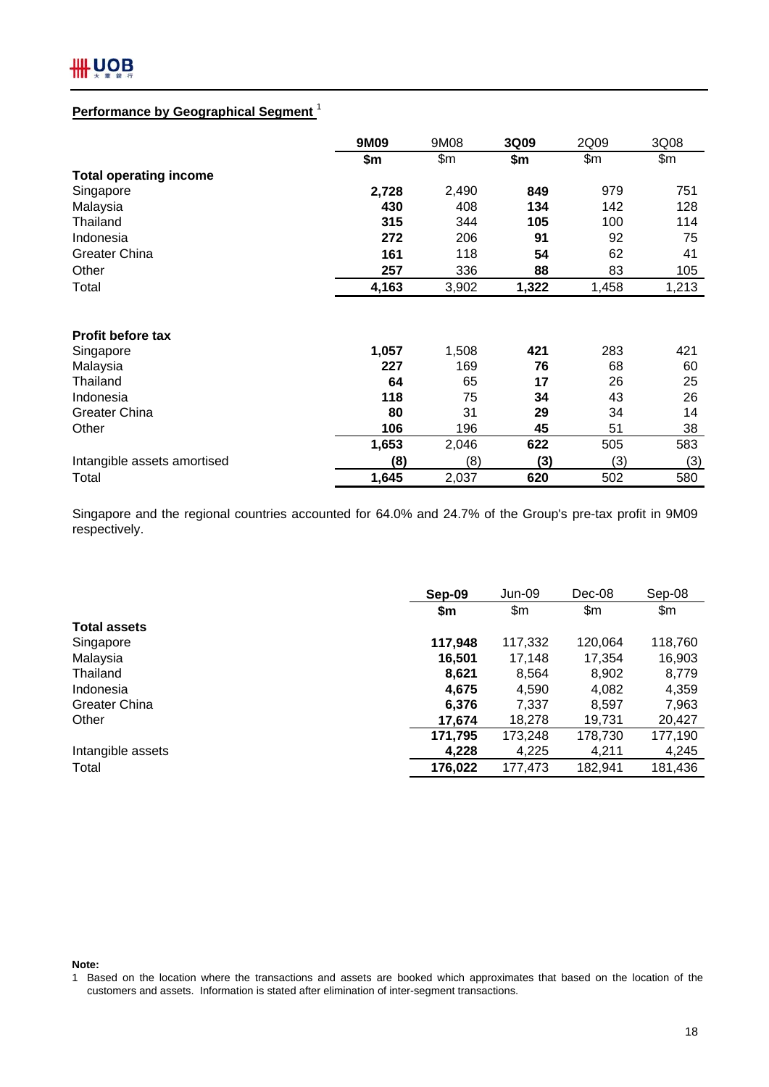

## **Performance by Geographical Segment** <sup>1</sup>

|                               | 9M09  | 9M08  | 3Q09  | 2Q09  | 3Q08  |
|-------------------------------|-------|-------|-------|-------|-------|
|                               | \$m   | \$m   | \$m   | \$m\$ | \$m   |
| <b>Total operating income</b> |       |       |       |       |       |
| Singapore                     | 2,728 | 2,490 | 849   | 979   | 751   |
| Malaysia                      | 430   | 408   | 134   | 142   | 128   |
| Thailand                      | 315   | 344   | 105   | 100   | 114   |
| Indonesia                     | 272   | 206   | 91    | 92    | 75    |
| <b>Greater China</b>          | 161   | 118   | 54    | 62    | 41    |
| Other                         | 257   | 336   | 88    | 83    | 105   |
| Total                         | 4,163 | 3,902 | 1,322 | 1,458 | 1,213 |
|                               |       |       |       |       |       |
| <b>Profit before tax</b>      |       |       |       |       |       |
| Singapore                     | 1,057 | 1,508 | 421   | 283   | 421   |
| Malaysia                      | 227   | 169   | 76    | 68    | 60    |
| Thailand                      | 64    | 65    | 17    | 26    | 25    |
| Indonesia                     | 118   | 75    | 34    | 43    | 26    |
| <b>Greater China</b>          | 80    | 31    | 29    | 34    | 14    |
| Other                         | 106   | 196   | 45    | 51    | 38    |
|                               | 1,653 | 2,046 | 622   | 505   | 583   |
| Intangible assets amortised   | (8)   | (8)   | (3)   | (3)   | (3)   |
| Total                         | 1,645 | 2,037 | 620   | 502   | 580   |

Singapore and the regional countries accounted for 64.0% and 24.7% of the Group's pre-tax profit in 9M09 respectively.

|                     | Sep-09  | Jun-09  | Dec-08  | Sep-08  |
|---------------------|---------|---------|---------|---------|
|                     | \$m     | \$m     | \$m     | \$m\$   |
| <b>Total assets</b> |         |         |         |         |
| Singapore           | 117,948 | 117,332 | 120,064 | 118,760 |
| Malaysia            | 16,501  | 17,148  | 17,354  | 16,903  |
| Thailand            | 8,621   | 8,564   | 8,902   | 8,779   |
| Indonesia           | 4,675   | 4.590   | 4,082   | 4,359   |
| Greater China       | 6,376   | 7,337   | 8,597   | 7,963   |
| Other               | 17,674  | 18,278  | 19.731  | 20,427  |
|                     | 171,795 | 173,248 | 178,730 | 177,190 |
| Intangible assets   | 4,228   | 4,225   | 4,211   | 4,245   |
| Total               | 176,022 | 177,473 | 182,941 | 181,436 |

**Note:**

<sup>1</sup> Based on the location where the transactions and assets are booked which approximates that based on the location of the customers and assets. Information is stated after elimination of inter-segment transactions.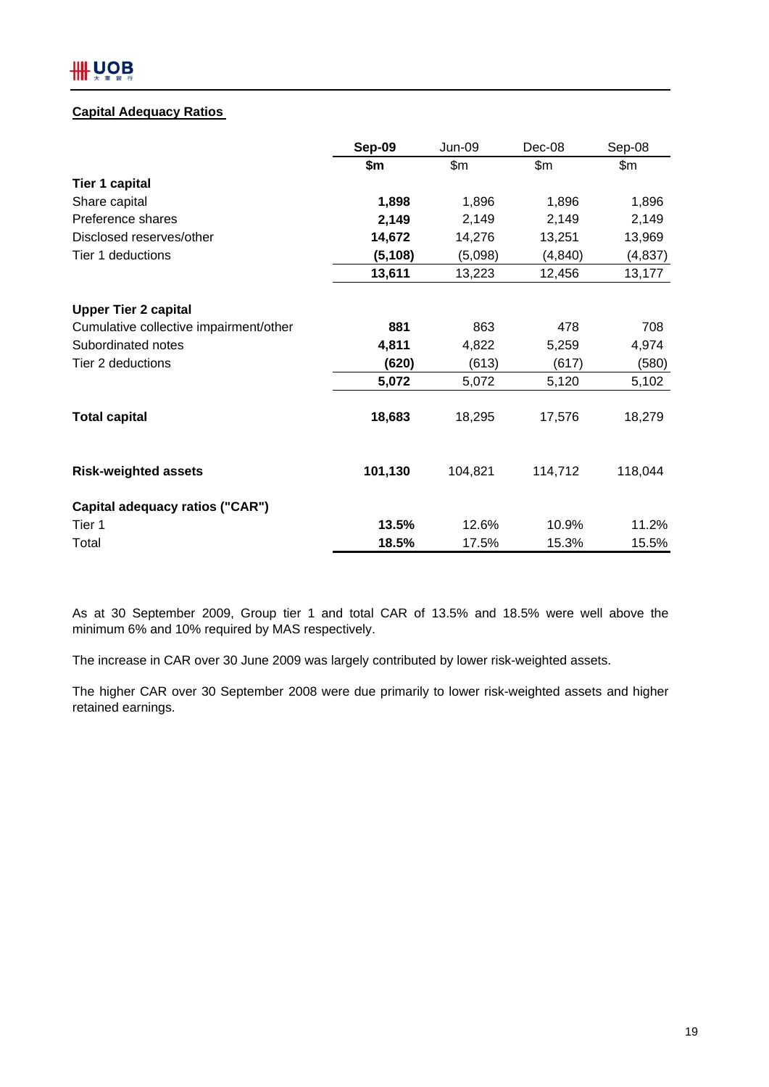## IIII UOB

## **Capital Adequacy Ratios**

|                                        | Sep-09   | <b>Jun-09</b> | Dec-08   | Sep-08   |
|----------------------------------------|----------|---------------|----------|----------|
|                                        | \$m      | \$m\$         | \$m      | \$m      |
| <b>Tier 1 capital</b>                  |          |               |          |          |
| Share capital                          | 1,898    | 1,896         | 1,896    | 1,896    |
| Preference shares                      | 2,149    | 2,149         | 2,149    | 2,149    |
| Disclosed reserves/other               | 14,672   | 14,276        | 13,251   | 13,969   |
| Tier 1 deductions                      | (5, 108) | (5,098)       | (4, 840) | (4, 837) |
|                                        | 13,611   | 13,223        | 12,456   | 13,177   |
| <b>Upper Tier 2 capital</b>            |          |               |          |          |
| Cumulative collective impairment/other | 881      | 863           | 478      | 708      |
| Subordinated notes                     | 4,811    | 4,822         | 5,259    | 4,974    |
| Tier 2 deductions                      | (620)    | (613)         | (617)    | (580)    |
|                                        | 5,072    | 5,072         | 5,120    | 5,102    |
| <b>Total capital</b>                   | 18,683   | 18,295        | 17,576   | 18,279   |
| <b>Risk-weighted assets</b>            | 101,130  | 104,821       | 114,712  | 118,044  |
| Capital adequacy ratios ("CAR")        |          |               |          |          |
| Tier 1                                 | 13.5%    | 12.6%         | 10.9%    | 11.2%    |
| Total                                  | 18.5%    | 17.5%         | 15.3%    | 15.5%    |

As at 30 September 2009, Group tier 1 and total CAR of 13.5% and 18.5% were well above the minimum 6% and 10% required by MAS respectively.

The increase in CAR over 30 June 2009 was largely contributed by lower risk-weighted assets.

The higher CAR over 30 September 2008 were due primarily to lower risk-weighted assets and higher retained earnings.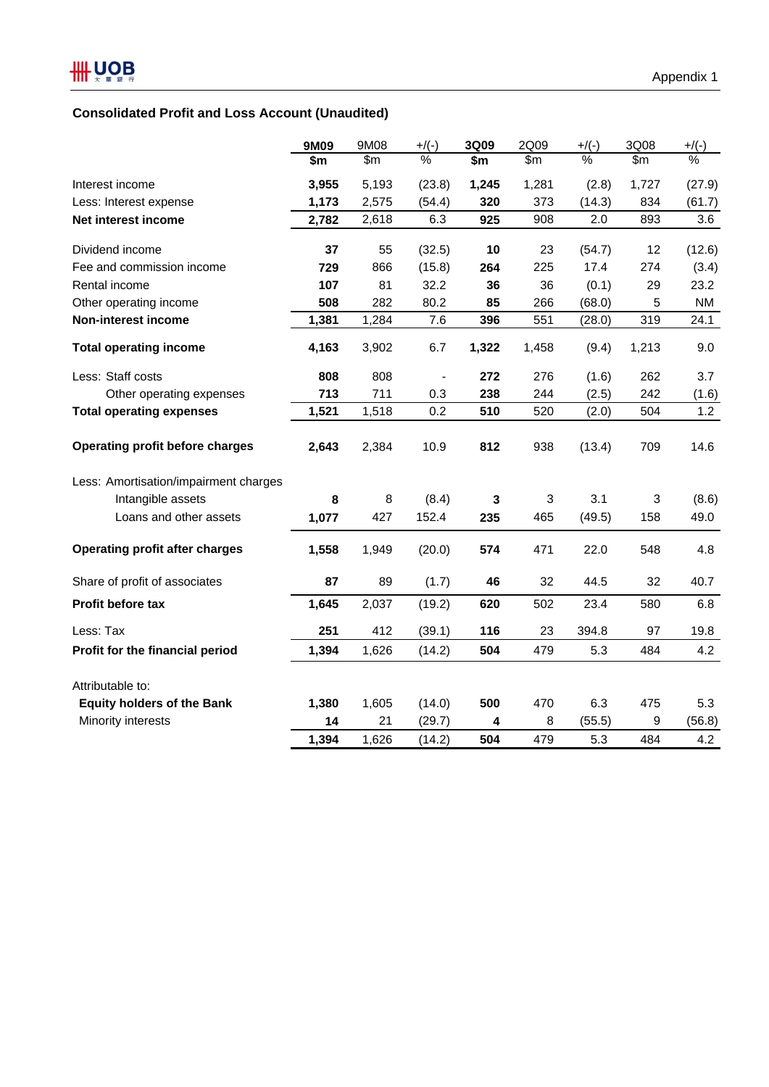## **Consolidated Profit and Loss Account (Unaudited)**

|                                        | 9M09  | 9M08  | $+$ /(-) | 3Q09  | 2Q09           | $+$ /(-) | 3Q08  | $+$ /(-)                 |
|----------------------------------------|-------|-------|----------|-------|----------------|----------|-------|--------------------------|
|                                        | \$m   | \$m   | %        | \$m   | $\mathsf{S}$ m | %        | \$m\$ | $\overline{\frac{9}{6}}$ |
| Interest income                        | 3,955 | 5,193 | (23.8)   | 1,245 | 1,281          | (2.8)    | 1,727 | (27.9)                   |
| Less: Interest expense                 | 1,173 | 2,575 | (54.4)   | 320   | 373            | (14.3)   | 834   | (61.7)                   |
| Net interest income                    | 2,782 | 2,618 | 6.3      | 925   | 908            | 2.0      | 893   | 3.6                      |
| Dividend income                        | 37    | 55    | (32.5)   | 10    | 23             | (54.7)   | 12    | (12.6)                   |
| Fee and commission income              | 729   | 866   | (15.8)   | 264   | 225            | 17.4     | 274   | (3.4)                    |
| Rental income                          | 107   | 81    | 32.2     | 36    | 36             | (0.1)    | 29    | 23.2                     |
| Other operating income                 | 508   | 282   | 80.2     | 85    | 266            | (68.0)   | 5     | <b>NM</b>                |
| <b>Non-interest income</b>             | 1,381 | 1,284 | 7.6      | 396   | 551            | (28.0)   | 319   | 24.1                     |
| <b>Total operating income</b>          | 4,163 | 3,902 | 6.7      | 1,322 | 1,458          | (9.4)    | 1,213 | 9.0                      |
| Less: Staff costs                      | 808   | 808   |          | 272   | 276            | (1.6)    | 262   | 3.7                      |
| Other operating expenses               | 713   | 711   | 0.3      | 238   | 244            | (2.5)    | 242   | (1.6)                    |
| <b>Total operating expenses</b>        | 1,521 | 1,518 | 0.2      | 510   | 520            | (2.0)    | 504   | 1.2                      |
| <b>Operating profit before charges</b> | 2,643 | 2,384 | 10.9     | 812   | 938            | (13.4)   | 709   | 14.6                     |
| Less: Amortisation/impairment charges  |       |       |          |       |                |          |       |                          |
| Intangible assets                      | 8     | 8     | (8.4)    | 3     | 3              | 3.1      | 3     | (8.6)                    |
| Loans and other assets                 | 1,077 | 427   | 152.4    | 235   | 465            | (49.5)   | 158   | 49.0                     |
| <b>Operating profit after charges</b>  | 1,558 | 1,949 | (20.0)   | 574   | 471            | 22.0     | 548   | 4.8                      |
| Share of profit of associates          | 87    | 89    | (1.7)    | 46    | 32             | 44.5     | 32    | 40.7                     |
| <b>Profit before tax</b>               | 1,645 | 2,037 | (19.2)   | 620   | 502            | 23.4     | 580   | 6.8                      |
| Less: Tax                              | 251   | 412   | (39.1)   | 116   | 23             | 394.8    | 97    | 19.8                     |
| Profit for the financial period        | 1,394 | 1,626 | (14.2)   | 504   | 479            | 5.3      | 484   | 4.2                      |
| Attributable to:                       |       |       |          |       |                |          |       |                          |
| <b>Equity holders of the Bank</b>      | 1,380 | 1,605 | (14.0)   | 500   | 470            | 6.3      | 475   | 5.3                      |
| Minority interests                     | 14    | 21    | (29.7)   | 4     | 8              | (55.5)   | 9     | (56.8)                   |
|                                        | 1,394 | 1,626 | (14.2)   | 504   | 479            | 5.3      | 484   | 4.2                      |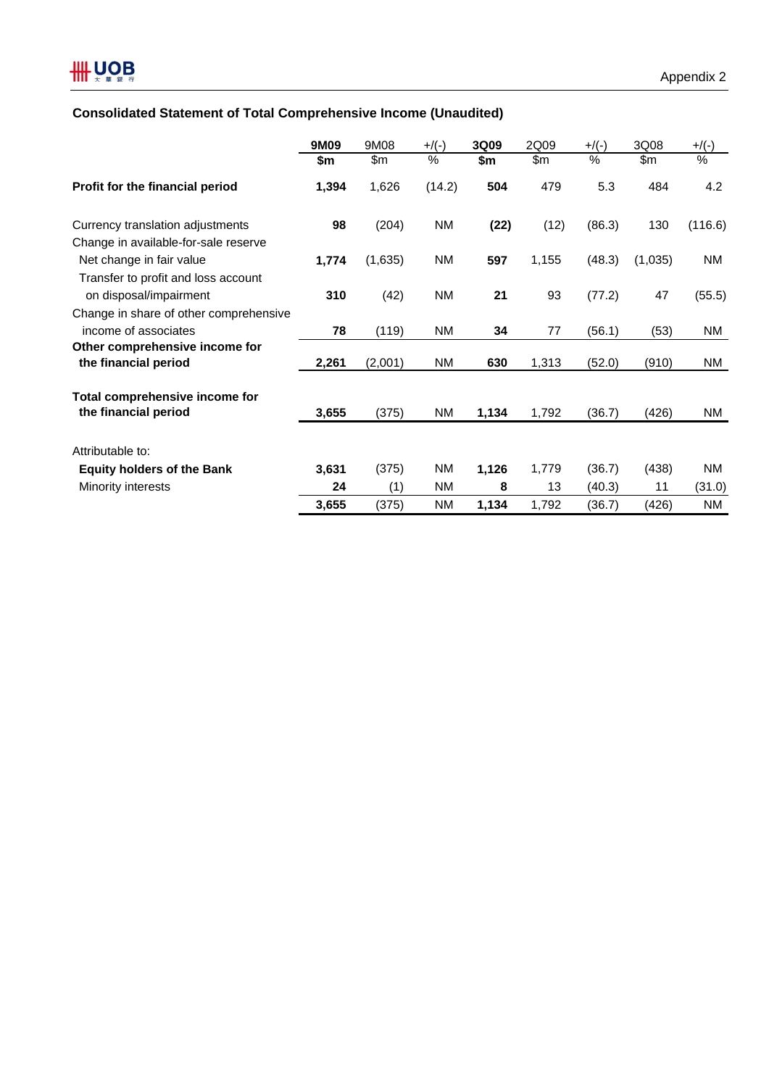## **Consolidated Statement of Total Comprehensive Income (Unaudited)**

|                                        | 9M09  | 9M08    | $+$ /(-) | 3Q09  | 2Q09  | $+$ /(-) | 3Q08    | $+$ /(-)  |
|----------------------------------------|-------|---------|----------|-------|-------|----------|---------|-----------|
|                                        | \$m   | \$m     | $\%$     | \$m   | \$m   | %        | \$m     | %         |
| Profit for the financial period        | 1,394 | 1,626   | (14.2)   | 504   | 479   | 5.3      | 484     | 4.2       |
| Currency translation adjustments       | 98    | (204)   | ΝM       | (22)  | (12)  | (86.3)   | 130     | (116.6)   |
| Change in available-for-sale reserve   |       |         |          |       |       |          |         |           |
| Net change in fair value               | 1,774 | (1,635) | ΝM       | 597   | 1,155 | (48.3)   | (1,035) | NM        |
| Transfer to profit and loss account    |       |         |          |       |       |          |         |           |
| on disposal/impairment                 | 310   | (42)    | NM       | 21    | 93    | (77.2)   | 47      | (55.5)    |
| Change in share of other comprehensive |       |         |          |       |       |          |         |           |
| income of associates                   | 78    | (119)   | ΝM       | 34    | 77    | (56.1)   | (53)    | NM        |
| Other comprehensive income for         |       |         |          |       |       |          |         |           |
| the financial period                   | 2,261 | (2,001) | ΝM       | 630   | 1,313 | (52.0)   | (910)   | NM        |
| Total comprehensive income for         |       |         |          |       |       |          |         |           |
| the financial period                   | 3,655 | (375)   | NM       | 1,134 | 1,792 | (36.7)   | (426)   | NM.       |
| Attributable to:                       |       |         |          |       |       |          |         |           |
| <b>Equity holders of the Bank</b>      | 3,631 | (375)   | ΝM       | 1,126 | 1,779 | (36.7)   | (438)   | <b>NM</b> |
| Minority interests                     | 24    | (1)     | ΝM       | 8     | 13    | (40.3)   | 11      | (31.0)    |
|                                        | 3,655 | (375)   | ΝM       | 1,134 | 1,792 | (36.7)   | (426)   | ΝM        |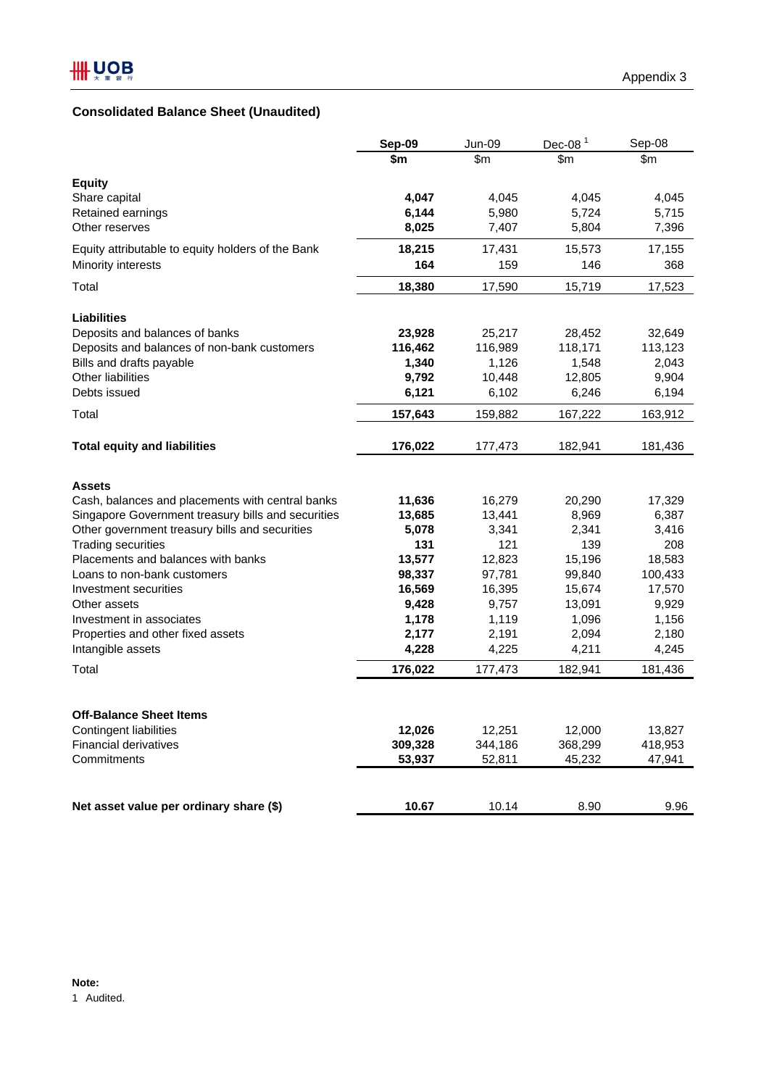## **Consolidated Balance Sheet (Unaudited)**

|                                                        | Sep-09         | Jun-09         | Dec-08 $1$     | Sep-08         |
|--------------------------------------------------------|----------------|----------------|----------------|----------------|
|                                                        | \$m            | \$m            | \$m            | \$m            |
| <b>Equity</b>                                          |                |                |                |                |
| Share capital                                          | 4,047          | 4,045          | 4,045          | 4,045          |
| Retained earnings                                      | 6,144          | 5,980          | 5,724          | 5,715          |
| Other reserves                                         | 8,025          | 7,407          | 5,804          | 7,396          |
| Equity attributable to equity holders of the Bank      | 18,215         | 17,431         | 15,573         | 17,155         |
| Minority interests                                     | 164            | 159            | 146            | 368            |
| Total                                                  | 18,380         | 17,590         | 15,719         | 17,523         |
| <b>Liabilities</b>                                     |                |                |                |                |
| Deposits and balances of banks                         | 23,928         | 25,217         | 28,452         | 32,649         |
| Deposits and balances of non-bank customers            | 116,462        | 116,989        | 118,171        | 113,123        |
| Bills and drafts payable                               | 1,340          | 1,126          | 1,548          | 2,043          |
| Other liabilities                                      | 9,792          | 10,448         | 12,805         | 9,904          |
| Debts issued                                           | 6,121          | 6,102          | 6,246          | 6,194          |
| Total                                                  | 157,643        | 159,882        | 167,222        | 163,912        |
| <b>Total equity and liabilities</b>                    | 176,022        | 177,473        | 182,941        | 181,436        |
| <b>Assets</b>                                          |                |                |                |                |
| Cash, balances and placements with central banks       | 11,636         | 16,279         | 20,290         | 17,329         |
| Singapore Government treasury bills and securities     | 13,685         | 13,441         | 8,969          | 6,387          |
| Other government treasury bills and securities         | 5,078          | 3,341          | 2,341          | 3,416          |
| <b>Trading securities</b>                              | 131            | 121            | 139            | 208            |
| Placements and balances with banks                     | 13,577         | 12,823         | 15,196         | 18,583         |
| Loans to non-bank customers                            | 98,337         | 97,781         | 99,840         | 100,433        |
| Investment securities                                  | 16,569         | 16,395         | 15,674         | 17,570         |
| Other assets                                           | 9,428          | 9,757          | 13,091         | 9,929          |
| Investment in associates                               | 1,178          | 1,119          | 1,096          | 1,156          |
| Properties and other fixed assets<br>Intangible assets | 2,177<br>4,228 | 2,191<br>4,225 | 2,094<br>4,211 | 2,180<br>4,245 |
|                                                        |                |                |                |                |
| Total                                                  | 176,022        | 177,473        | 182,941        | 181,436        |
| <b>Off-Balance Sheet Items</b>                         |                |                |                |                |
| <b>Contingent liabilities</b>                          | 12,026         | 12,251         | 12,000         | 13,827         |
| <b>Financial derivatives</b>                           | 309,328        | 344,186        | 368,299        | 418,953        |
| Commitments                                            | 53,937         | 52,811         | 45,232         | 47,941         |
|                                                        |                |                |                |                |
| Net asset value per ordinary share (\$)                | 10.67          | 10.14          | 8.90           | 9.96           |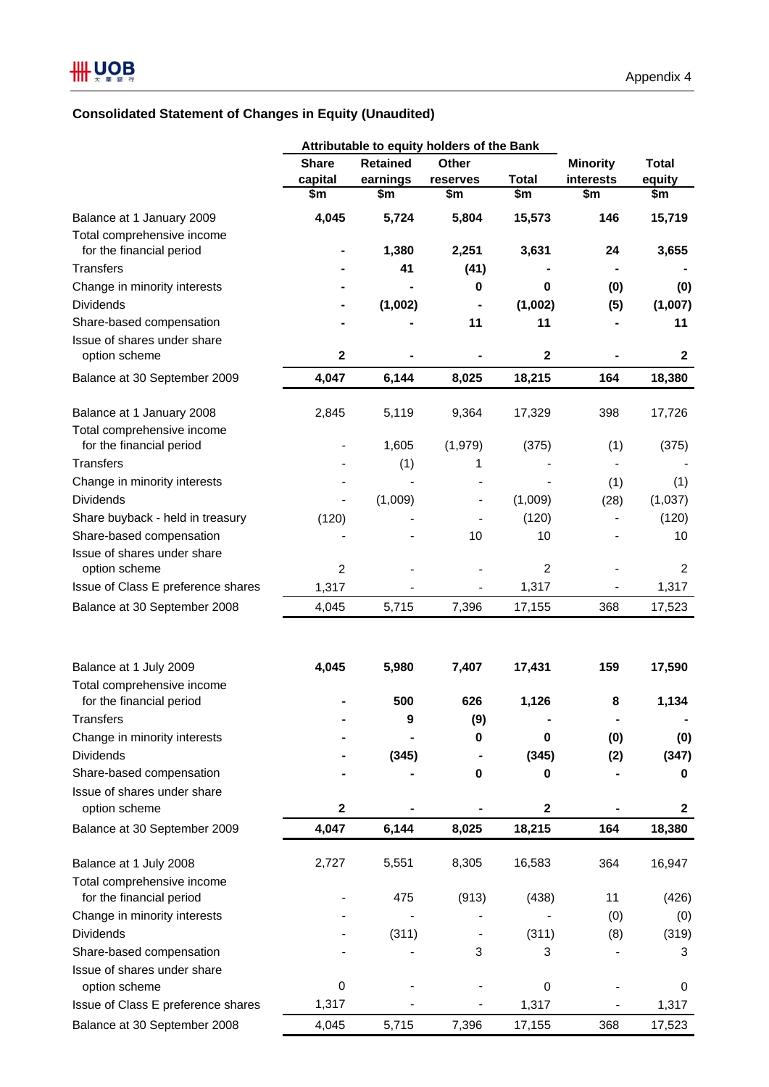## **Consolidated Statement of Changes in Equity (Unaudited)**

|                                                         |                |                 | Attributable to equity holders of the Bank |                        |                              |                |
|---------------------------------------------------------|----------------|-----------------|--------------------------------------------|------------------------|------------------------------|----------------|
|                                                         | <b>Share</b>   | <b>Retained</b> | Other                                      |                        | <b>Minority</b>              | <b>Total</b>   |
|                                                         | capital        | earnings        | reserves                                   | <b>Total</b>           | interests                    | equity         |
|                                                         | \$m            | \$m             | \$m                                        | $\overline{\text{sm}}$ | \$m                          | \$m            |
| Balance at 1 January 2009<br>Total comprehensive income | 4,045          | 5,724           | 5,804                                      | 15,573                 | 146                          | 15,719         |
| for the financial period                                |                | 1,380           | 2,251                                      | 3,631                  | 24                           | 3,655          |
| <b>Transfers</b>                                        |                | 41              | (41)                                       |                        |                              |                |
| Change in minority interests                            |                |                 | 0                                          | 0                      | (0)                          | (0)            |
| <b>Dividends</b>                                        |                | (1,002)         |                                            | (1,002)                | (5)                          | (1,007)        |
| Share-based compensation                                |                |                 | 11                                         | 11                     |                              | 11             |
| Issue of shares under share<br>option scheme            | $\mathbf 2$    |                 |                                            | $\mathbf 2$            |                              | $\mathbf 2$    |
| Balance at 30 September 2009                            | 4,047          | 6,144           | 8,025                                      | 18,215                 | 164                          | 18,380         |
|                                                         |                |                 |                                            |                        |                              |                |
| Balance at 1 January 2008<br>Total comprehensive income | 2,845          | 5,119           | 9,364                                      | 17,329                 | 398                          | 17,726         |
| for the financial period                                |                | 1,605           | (1,979)                                    | (375)                  | (1)                          | (375)          |
| <b>Transfers</b>                                        |                | (1)             | 1                                          |                        |                              |                |
| Change in minority interests                            |                |                 |                                            |                        | (1)                          | (1)            |
| <b>Dividends</b>                                        |                | (1,009)         |                                            | (1,009)                | (28)                         | (1,037)        |
| Share buyback - held in treasury                        | (120)          |                 |                                            | (120)                  |                              | (120)          |
| Share-based compensation                                |                |                 | 10                                         | 10                     |                              | 10             |
| Issue of shares under share                             |                |                 |                                            |                        |                              |                |
| option scheme                                           | $\overline{2}$ |                 |                                            | $\overline{c}$         |                              | $\overline{c}$ |
| Issue of Class E preference shares                      | 1,317          |                 |                                            | 1,317                  | $\qquad \qquad \blacksquare$ | 1,317          |
| Balance at 30 September 2008                            | 4,045          | 5,715           | 7,396                                      | 17,155                 | 368                          | 17,523         |
|                                                         |                |                 |                                            |                        |                              |                |
| Balance at 1 July 2009                                  | 4,045          | 5,980           | 7,407                                      | 17,431                 | 159                          | 17,590         |
| Total comprehensive income                              |                |                 |                                            |                        |                              |                |
| for the financial period                                |                | 500             | 626                                        | 1,126                  | 8                            | 1,134          |
| Transfers                                               |                | q               | (9)                                        |                        |                              |                |
| Change in minority interests                            |                |                 | 0                                          | $\mathbf 0$            | (0)                          | (0)            |
| <b>Dividends</b>                                        |                | (345)           |                                            | (345)                  | (2)                          | (347)          |
| Share-based compensation                                |                |                 | 0                                          | 0                      |                              | 0              |
| Issue of shares under share                             |                |                 |                                            |                        |                              |                |
| option scheme                                           | $\mathbf 2$    |                 |                                            | $\mathbf{2}$           |                              | $\mathbf{2}$   |
| Balance at 30 September 2009                            | 4,047          | 6,144           | 8,025                                      | 18,215                 | 164                          | 18,380         |
| Balance at 1 July 2008                                  | 2,727          | 5,551           | 8,305                                      | 16,583                 | 364                          | 16,947         |
| Total comprehensive income                              |                |                 |                                            |                        |                              |                |
| for the financial period                                |                | 475             | (913)                                      | (438)                  | 11                           | (426)          |
| Change in minority interests                            |                |                 |                                            |                        | (0)                          | (0)            |
| <b>Dividends</b>                                        |                | (311)           |                                            | (311)                  | (8)                          | (319)          |
| Share-based compensation                                |                |                 | 3                                          | 3                      |                              | 3              |
| Issue of shares under share                             |                |                 |                                            |                        |                              |                |
| option scheme                                           | $\pmb{0}$      |                 |                                            | 0                      |                              | 0              |
| Issue of Class E preference shares                      | 1,317          |                 |                                            | 1,317                  |                              | 1,317          |
| Balance at 30 September 2008                            | 4,045          | 5,715           | 7,396                                      | 17,155                 | 368                          | 17,523         |
|                                                         |                |                 |                                            |                        |                              |                |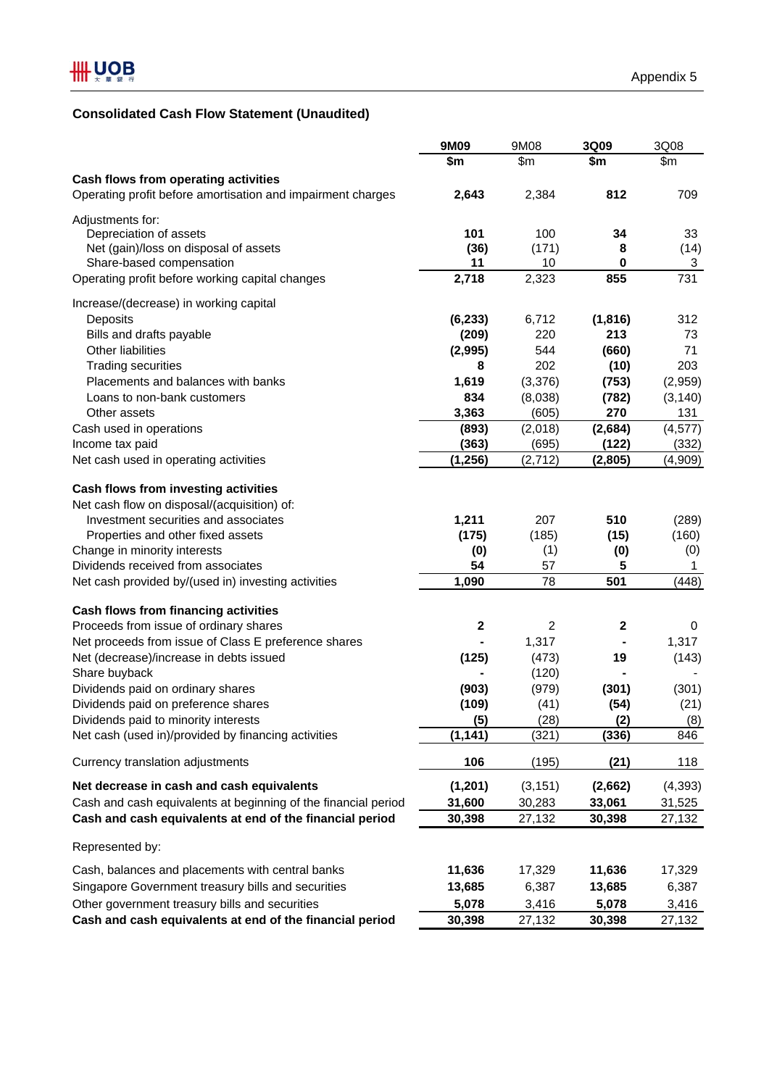## **Consolidated Cash Flow Statement (Unaudited)**

|                                                                | 9M09        | 9M08     | 3Q09        | 3Q08     |
|----------------------------------------------------------------|-------------|----------|-------------|----------|
|                                                                | \$m         | \$m\$    | \$m         | \$m      |
| Cash flows from operating activities                           |             |          |             |          |
| Operating profit before amortisation and impairment charges    | 2,643       | 2,384    | 812         | 709      |
| Adjustments for:                                               |             |          |             |          |
| Depreciation of assets                                         | 101         | 100      | 34          | 33       |
| Net (gain)/loss on disposal of assets                          | (36)        | (171)    | 8           | (14)     |
| Share-based compensation                                       | 11          | 10       | 0           | 3        |
| Operating profit before working capital changes                | 2,718       | 2,323    | 855         | 731      |
| Increase/(decrease) in working capital                         |             |          |             |          |
| Deposits                                                       | (6, 233)    | 6,712    | (1, 816)    | 312      |
| Bills and drafts payable                                       | (209)       | 220      | 213         | 73       |
| <b>Other liabilities</b>                                       | (2,995)     | 544      | (660)       | 71       |
| <b>Trading securities</b>                                      | 8           | 202      | (10)        | 203      |
| Placements and balances with banks                             | 1,619       | (3,376)  | (753)       | (2,959)  |
| Loans to non-bank customers                                    | 834         | (8,038)  | (782)       | (3, 140) |
| Other assets                                                   | 3,363       | (605)    | 270         | 131      |
| Cash used in operations                                        | (893)       | (2,018)  | (2,684)     | (4, 577) |
| Income tax paid                                                | (363)       | (695)    | (122)       | (332)    |
| Net cash used in operating activities                          | (1, 256)    | (2, 712) | (2,805)     | (4,909)  |
| Cash flows from investing activities                           |             |          |             |          |
| Net cash flow on disposal/(acquisition) of:                    |             |          |             |          |
| Investment securities and associates                           | 1,211       | 207      | 510         | (289)    |
| Properties and other fixed assets                              | (175)       | (185)    | (15)        | (160)    |
| Change in minority interests                                   | (0)         | (1)      | (0)         | (0)      |
| Dividends received from associates                             | 54          | 57       | 5           | 1        |
| Net cash provided by/(used in) investing activities            | 1,090       | 78       | 501         | (448)    |
|                                                                |             |          |             |          |
| Cash flows from financing activities                           |             |          |             |          |
| Proceeds from issue of ordinary shares                         | $\mathbf 2$ | 2        | $\mathbf 2$ | 0        |
| Net proceeds from issue of Class E preference shares           |             | 1,317    |             | 1,317    |
| Net (decrease)/increase in debts issued                        | (125)       | (473)    | 19          | (143)    |
| Share buyback                                                  |             | (120)    |             |          |
| Dividends paid on ordinary shares                              | (903)       | (979)    | (301)       | (301)    |
| Dividends paid on preference shares                            | (109)       | (41)     | (54)        | (21)     |
| Dividends paid to minority interests                           | (5)         | (28)     | (2)         | (8)      |
| Net cash (used in)/provided by financing activities            | (1, 141)    | (321)    | (336)       | 846      |
| Currency translation adjustments                               | 106         | (195)    | (21)        | 118      |
| Net decrease in cash and cash equivalents                      | (1, 201)    | (3, 151) | (2,662)     | (4, 393) |
| Cash and cash equivalents at beginning of the financial period | 31,600      | 30,283   | 33,061      | 31,525   |
| Cash and cash equivalents at end of the financial period       | 30,398      | 27,132   | 30,398      | 27,132   |
| Represented by:                                                |             |          |             |          |
| Cash, balances and placements with central banks               | 11,636      | 17,329   | 11,636      | 17,329   |
| Singapore Government treasury bills and securities             | 13,685      | 6,387    | 13,685      | 6,387    |
| Other government treasury bills and securities                 | 5,078       | 3,416    | 5,078       | 3,416    |
|                                                                |             |          |             |          |
| Cash and cash equivalents at end of the financial period       | 30,398      | 27,132   | 30,398      | 27,132   |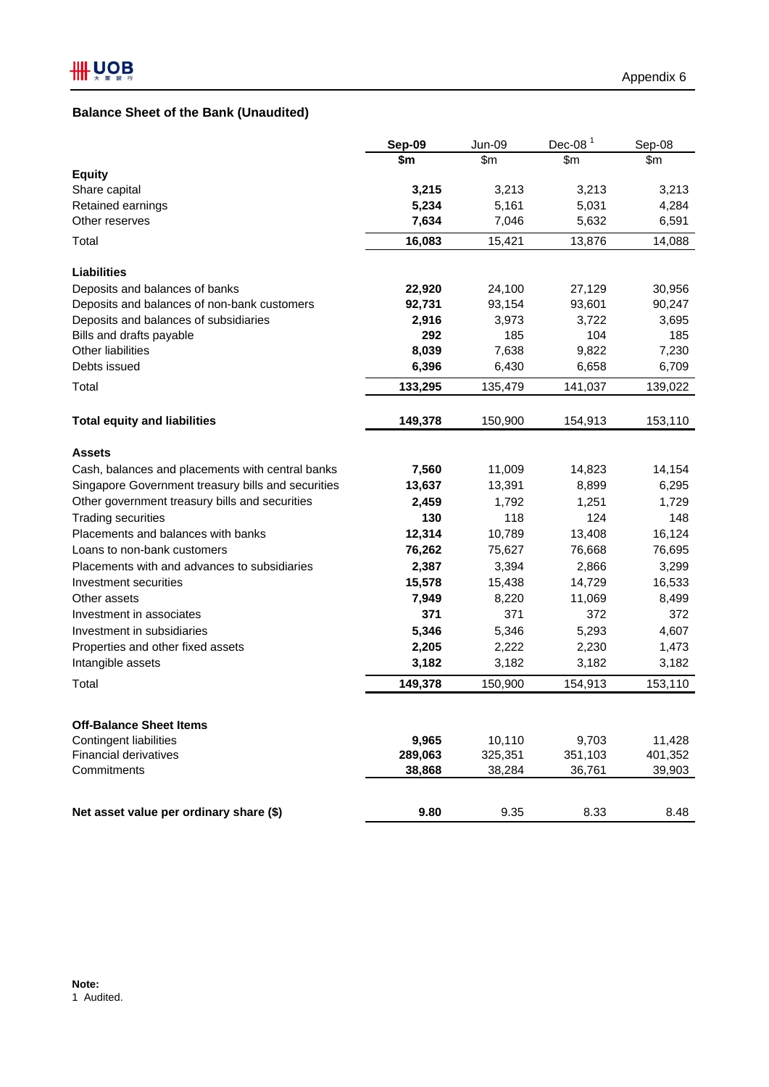## **Balance Sheet of the Bank (Unaudited)**

|                                                    | Sep-09  | Jun-09  | Dec-08 $1$ | Sep-08  |
|----------------------------------------------------|---------|---------|------------|---------|
|                                                    | \$m     | \$m     | \$m\$      | \$m     |
| <b>Equity</b>                                      |         |         |            |         |
| Share capital                                      | 3,215   | 3,213   | 3,213      | 3,213   |
| Retained earnings                                  | 5,234   | 5,161   | 5,031      | 4,284   |
| Other reserves                                     | 7,634   | 7,046   | 5,632      | 6,591   |
| Total                                              | 16,083  | 15,421  | 13,876     | 14,088  |
| <b>Liabilities</b>                                 |         |         |            |         |
| Deposits and balances of banks                     | 22,920  | 24,100  | 27,129     | 30,956  |
| Deposits and balances of non-bank customers        | 92,731  | 93,154  | 93,601     | 90,247  |
| Deposits and balances of subsidiaries              | 2,916   | 3,973   | 3,722      | 3,695   |
| Bills and drafts payable                           | 292     | 185     | 104        | 185     |
| Other liabilities                                  | 8,039   | 7,638   | 9,822      | 7,230   |
| Debts issued                                       | 6,396   | 6,430   | 6,658      | 6,709   |
| Total                                              | 133,295 | 135,479 | 141,037    | 139,022 |
| <b>Total equity and liabilities</b>                | 149,378 | 150,900 | 154,913    | 153,110 |
| <b>Assets</b>                                      |         |         |            |         |
| Cash, balances and placements with central banks   | 7,560   | 11,009  | 14,823     | 14,154  |
| Singapore Government treasury bills and securities | 13,637  | 13,391  | 8,899      | 6,295   |
| Other government treasury bills and securities     | 2,459   | 1,792   | 1,251      | 1,729   |
| <b>Trading securities</b>                          | 130     | 118     | 124        | 148     |
| Placements and balances with banks                 | 12,314  | 10,789  | 13,408     | 16,124  |
| Loans to non-bank customers                        | 76,262  | 75,627  | 76,668     | 76,695  |
| Placements with and advances to subsidiaries       | 2,387   | 3,394   | 2,866      | 3,299   |
| Investment securities                              | 15,578  | 15,438  | 14,729     | 16,533  |
| Other assets                                       | 7,949   | 8,220   | 11,069     | 8,499   |
| Investment in associates                           | 371     | 371     | 372        | 372     |
| Investment in subsidiaries                         | 5,346   | 5,346   | 5,293      | 4,607   |
| Properties and other fixed assets                  | 2,205   | 2,222   | 2,230      | 1,473   |
| Intangible assets                                  | 3,182   | 3,182   | 3,182      | 3,182   |
| Total                                              | 149,378 | 150,900 | 154,913    | 153,110 |
| <b>Off-Balance Sheet Items</b>                     |         |         |            |         |
| <b>Contingent liabilities</b>                      | 9,965   | 10,110  | 9,703      | 11,428  |
| <b>Financial derivatives</b>                       | 289,063 | 325,351 | 351,103    | 401,352 |
| Commitments                                        | 38,868  | 38,284  | 36,761     | 39,903  |
| Net asset value per ordinary share (\$)            | 9.80    | 9.35    | 8.33       | 8.48    |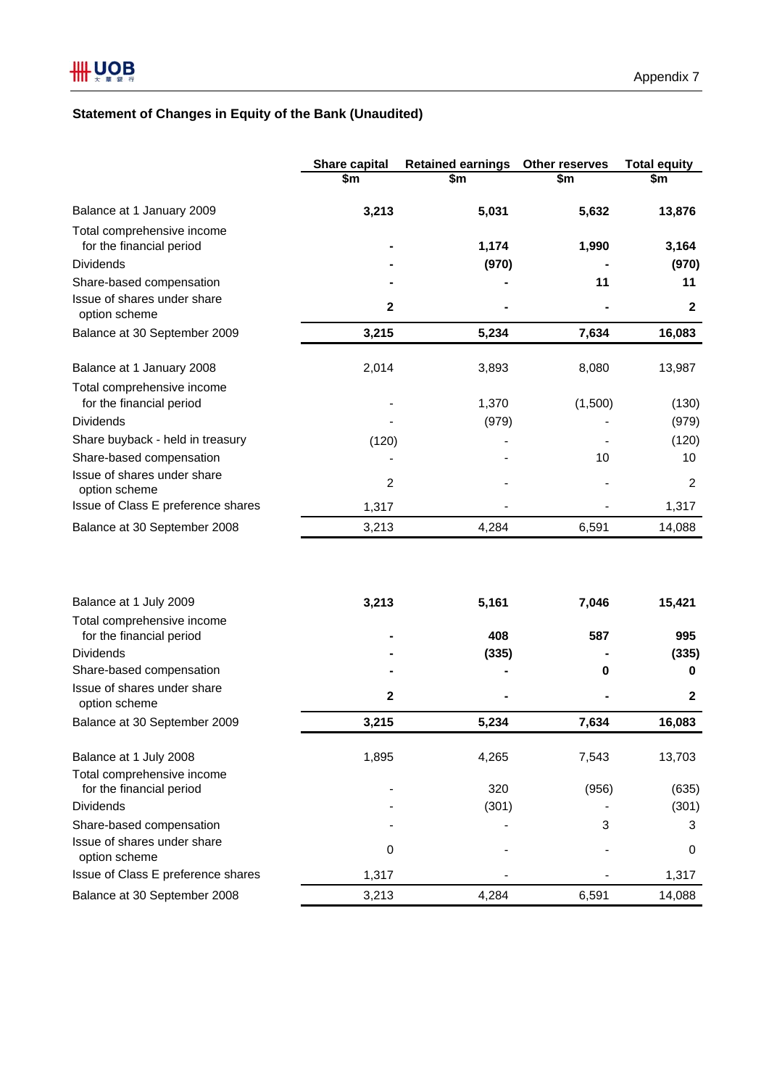## **Statement of Changes in Equity of the Bank (Unaudited)**

|                                                         | Share capital | <b>Retained earnings</b> | Other reserves | <b>Total equity</b> |
|---------------------------------------------------------|---------------|--------------------------|----------------|---------------------|
|                                                         | \$m           | \$m                      | \$m            | \$m                 |
| Balance at 1 January 2009                               | 3,213         | 5,031                    | 5,632          | 13,876              |
| Total comprehensive income<br>for the financial period  |               | 1,174                    | 1,990          | 3,164               |
| <b>Dividends</b>                                        |               | (970)                    |                | (970)               |
| Share-based compensation                                |               |                          | 11             | 11                  |
| Issue of shares under share<br>option scheme            | $\mathbf{2}$  |                          |                | $\mathbf{2}$        |
| Balance at 30 September 2009                            | 3,215         | 5,234                    | 7,634          | 16,083              |
| Balance at 1 January 2008                               | 2,014         | 3,893                    | 8,080          | 13,987              |
| Total comprehensive income<br>for the financial period  |               | 1,370                    | (1,500)        | (130)               |
| <b>Dividends</b>                                        |               | (979)                    |                | (979)               |
| Share buyback - held in treasury                        | (120)         |                          |                | (120)               |
| Share-based compensation                                |               |                          | 10             | 10                  |
| Issue of shares under share<br>option scheme            | 2             |                          |                | 2                   |
| Issue of Class E preference shares                      | 1,317         |                          |                | 1,317               |
| Balance at 30 September 2008                            | 3,213         | 4,284                    | 6,591          | 14,088              |
| Balance at 1 July 2009                                  | 3,213         | 5,161                    | 7,046          | 15,421              |
| Total comprehensive income                              |               |                          |                |                     |
| for the financial period                                |               | 408                      | 587            | 995                 |
| <b>Dividends</b>                                        |               | (335)                    |                | (335)               |
| Share-based compensation                                |               |                          | 0              | 0                   |
| Issue of shares under share<br>option scheme            | $\mathbf{2}$  |                          |                | $\mathbf{2}$        |
| Balance at 30 September 2009                            | 3,215         | 5,234                    | 7,634          | 16,083              |
| Balance at 1 July 2008                                  | 1,895         | 4,265                    | 7,543          | 13,703              |
| Total comprehensive income                              |               |                          |                |                     |
| for the financial period                                |               | 320                      | (956)          | (635)               |
| <b>Dividends</b>                                        |               | (301)                    |                | (301)               |
| Share-based compensation<br>Issue of shares under share |               |                          | 3              | 3                   |
| option scheme                                           | 0             |                          |                | 0                   |
| Issue of Class E preference shares                      | 1,317         |                          |                | 1,317               |
| Balance at 30 September 2008                            | 3,213         | 4,284                    | 6,591          | 14,088              |